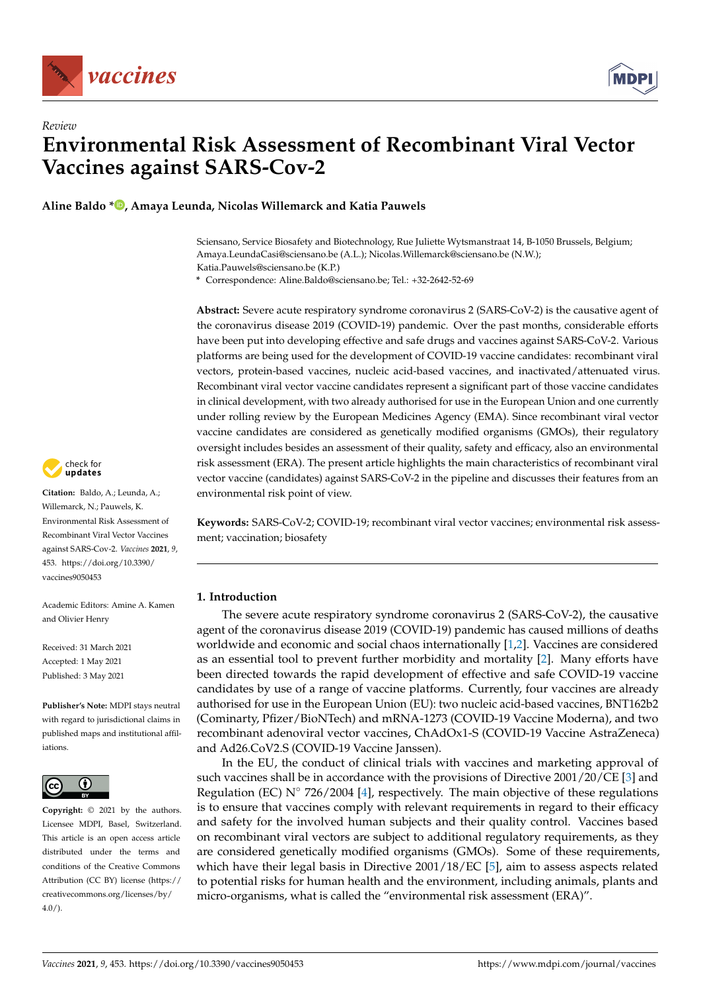

*Review*



# **Environmental Risk Assessment of Recombinant Viral Vector Vaccines against SARS-Cov-2**

**Aline Baldo [\\*](https://orcid.org/0000-0002-4578-9557) , Amaya Leunda, Nicolas Willemarck and Katia Pauwels**

Sciensano, Service Biosafety and Biotechnology, Rue Juliette Wytsmanstraat 14, B-1050 Brussels, Belgium; Amaya.LeundaCasi@sciensano.be (A.L.); Nicolas.Willemarck@sciensano.be (N.W.); Katia.Pauwels@sciensano.be (K.P.)

**\*** Correspondence: Aline.Baldo@sciensano.be; Tel.: +32-2642-52-69

**Abstract:** Severe acute respiratory syndrome coronavirus 2 (SARS-CoV-2) is the causative agent of the coronavirus disease 2019 (COVID-19) pandemic. Over the past months, considerable efforts have been put into developing effective and safe drugs and vaccines against SARS-CoV-2. Various platforms are being used for the development of COVID-19 vaccine candidates: recombinant viral vectors, protein-based vaccines, nucleic acid-based vaccines, and inactivated/attenuated virus. Recombinant viral vector vaccine candidates represent a significant part of those vaccine candidates in clinical development, with two already authorised for use in the European Union and one currently under rolling review by the European Medicines Agency (EMA). Since recombinant viral vector vaccine candidates are considered as genetically modified organisms (GMOs), their regulatory oversight includes besides an assessment of their quality, safety and efficacy, also an environmental risk assessment (ERA). The present article highlights the main characteristics of recombinant viral vector vaccine (candidates) against SARS-CoV-2 in the pipeline and discusses their features from an environmental risk point of view.

**Keywords:** SARS-CoV-2; COVID-19; recombinant viral vector vaccines; environmental risk assessment; vaccination; biosafety

## **1. Introduction**

The severe acute respiratory syndrome coronavirus 2 (SARS-CoV-2), the causative agent of the coronavirus disease 2019 (COVID-19) pandemic has caused millions of deaths worldwide and economic and social chaos internationally [\[1](#page-14-0)[,2\]](#page-14-1). Vaccines are considered as an essential tool to prevent further morbidity and mortality [\[2\]](#page-14-1). Many efforts have been directed towards the rapid development of effective and safe COVID-19 vaccine candidates by use of a range of vaccine platforms. Currently, four vaccines are already authorised for use in the European Union (EU): two nucleic acid-based vaccines, BNT162b2 (Cominarty, Pfizer/BioNTech) and mRNA-1273 (COVID-19 Vaccine Moderna), and two recombinant adenoviral vector vaccines, ChAdOx1-S (COVID-19 Vaccine AstraZeneca) and Ad26.CoV2.S (COVID-19 Vaccine Janssen).

In the EU, the conduct of clinical trials with vaccines and marketing approval of such vaccines shall be in accordance with the provisions of Directive 2001/20/CE [\[3\]](#page-14-2) and Regulation (EC) N $\degree$  726/2004 [\[4\]](#page-14-3), respectively. The main objective of these regulations is to ensure that vaccines comply with relevant requirements in regard to their efficacy and safety for the involved human subjects and their quality control. Vaccines based on recombinant viral vectors are subject to additional regulatory requirements, as they are considered genetically modified organisms (GMOs). Some of these requirements, which have their legal basis in Directive  $2001/18/EC$  [\[5\]](#page-14-4), aim to assess aspects related to potential risks for human health and the environment, including animals, plants and micro-organisms, what is called the "environmental risk assessment (ERA)".



**Citation:** Baldo, A.; Leunda, A.; Willemarck, N.; Pauwels, K. Environmental Risk Assessment of Recombinant Viral Vector Vaccines against SARS-Cov-2. *Vaccines* **2021**, *9*, 453. [https://doi.org/10.3390/](https://doi.org/10.3390/vaccines9050453) [vaccines9050453](https://doi.org/10.3390/vaccines9050453)

Academic Editors: Amine A. Kamen and Olivier Henry

Received: 31 March 2021 Accepted: 1 May 2021 Published: 3 May 2021

**Publisher's Note:** MDPI stays neutral with regard to jurisdictional claims in published maps and institutional affiliations.



**Copyright:** © 2021 by the authors. Licensee MDPI, Basel, Switzerland. This article is an open access article distributed under the terms and conditions of the Creative Commons Attribution (CC BY) license (https:/[/](https://creativecommons.org/licenses/by/4.0/) [creativecommons.org/licenses/by/](https://creativecommons.org/licenses/by/4.0/)  $4.0/$ ).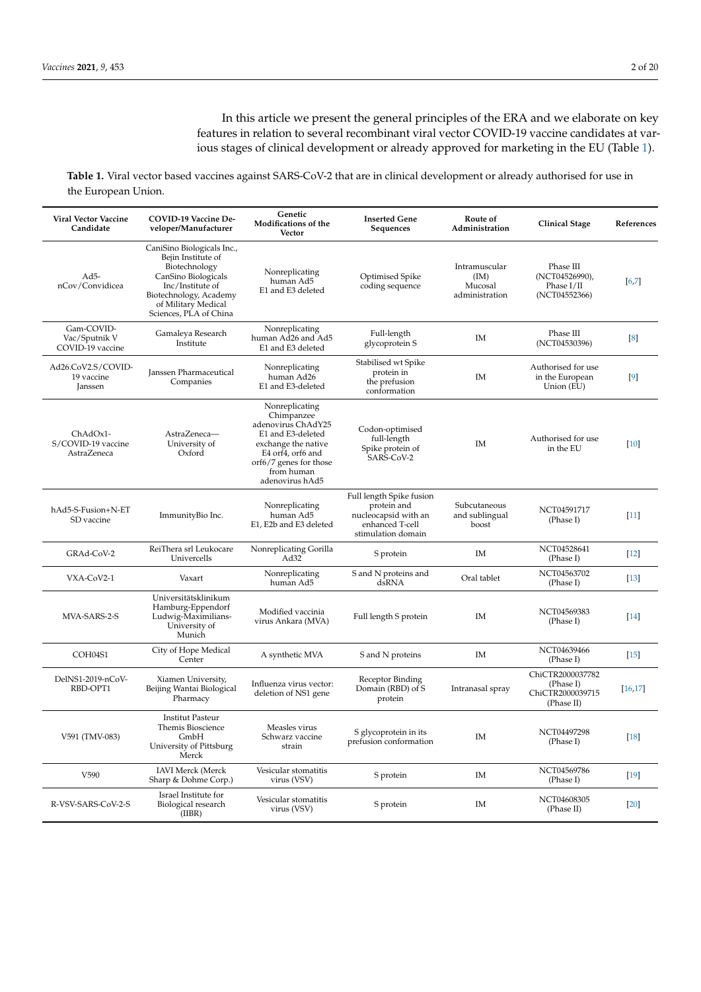In this article we present the general principles of the ERA and we elaborate on key features in relation to several recombinant viral vector COVID-19 vaccine candidates at various stages of clinical development or already approved for marketing in the EU (Table [1\)](#page-1-0).

<span id="page-1-0"></span>**Table 1.** Viral vector based vaccines against SARS-CoV-2 that are in clinical development or already authorised for use in the European Union.

| <b>Viral Vector Vaccine</b><br>Candidate        | COVID-19 Vaccine De-<br>veloper/Manufacturer                                                                                                                                            | Genetic<br>Modifications of the<br>Vector                                                                                                                                      | <b>Inserted Gene</b><br>Sequences                                                                        | Route of<br>Administration                         | <b>Clinical Stage</b>                                           | References         |
|-------------------------------------------------|-----------------------------------------------------------------------------------------------------------------------------------------------------------------------------------------|--------------------------------------------------------------------------------------------------------------------------------------------------------------------------------|----------------------------------------------------------------------------------------------------------|----------------------------------------------------|-----------------------------------------------------------------|--------------------|
| $Ad5-$<br>nCov/Convidicea                       | CaniSino Biologicals Inc.,<br>Bejin Institute of<br>Biotechnology<br>CanSino Biologicals<br>Inc/Institute of<br>Biotechnology, Academy<br>of Military Medical<br>Sciences, PLA of China | Nonreplicating<br>human Ad5<br>E1 and E3 deleted                                                                                                                               | Optimised Spike<br>coding sequence                                                                       | Intramuscular<br>(IM)<br>Mucosal<br>administration | Phase III<br>(NCT04526990),<br>Phase $I/II$<br>(NCT04552366)    | $[6,7]$            |
| Gam-COVID-<br>Vac/Sputnik V<br>COVID-19 vaccine | Gamaleya Research<br>Institute                                                                                                                                                          | Nonreplicating<br>human Ad26 and Ad5<br>E1 and E3 deleted                                                                                                                      | Full-length<br>glycoprotein S                                                                            | IM                                                 | Phase III<br>(NCT04530396)                                      | $\left[8\right]$   |
| Ad26.CoV2.S/COVID-<br>19 vaccine<br>Janssen     | Janssen Pharmaceutical<br>Companies                                                                                                                                                     | Nonreplicating<br>human Ad26<br>E1 and E3-deleted                                                                                                                              | Stabilised wt Spike<br>protein in<br>the prefusion<br>conformation                                       | IM                                                 | Authorised for use<br>in the European<br>Union (EU)             | $[9]$              |
| ChAdOx1-<br>S/COVID-19 vaccine<br>AstraZeneca   | AstraZeneca-<br>University of<br>Oxford                                                                                                                                                 | Nonreplicating<br>Chimpanzee<br>adenovirus ChAdY25<br>E1 and E3-deleted<br>exchange the native<br>E4 orf4, orf6 and<br>orf6/7 genes for those<br>from human<br>adenovirus hAd5 | Codon-optimised<br>full-length<br>Spike protein of<br>SARS-CoV-2                                         | IM                                                 | Authorised for use<br>in the EU                                 | [10]               |
| hAd5-S-Fusion+N-ET<br>SD vaccine                | ImmunityBio Inc.                                                                                                                                                                        | Nonreplicating<br>human Ad5<br>E1, E2b and E3 deleted                                                                                                                          | Full length Spike fusion<br>protein and<br>nucleocapsid with an<br>enhanced T-cell<br>stimulation domain | Subcutaneous<br>and sublingual<br>boost            | NCT04591717<br>(Phase I)                                        | $[11]$             |
| GRAd-CoV-2                                      | ReiThera srl Leukocare<br>Univercells                                                                                                                                                   | Nonreplicating Gorilla<br>Ad32                                                                                                                                                 | S protein                                                                                                | IM                                                 | NCT04528641<br>(Phase I)                                        | $[12]$             |
| VXA-CoV2-1                                      | Vaxart                                                                                                                                                                                  | Nonreplicating<br>human Ad5                                                                                                                                                    | S and N proteins and<br>dsRNA                                                                            | Oral tablet                                        | NCT04563702<br>(Phase I)                                        | $[13]$             |
| MVA-SARS-2-S                                    | Universitätsklinikum<br>Hamburg-Eppendorf<br>Ludwig-Maximilians-<br>University of<br>Munich                                                                                             | Modified vaccinia<br>virus Ankara (MVA)                                                                                                                                        | Full length S protein                                                                                    | <b>IM</b>                                          | NCT04569383<br>(Phase I)                                        | [14]               |
| COH04S1                                         | City of Hope Medical<br>Center                                                                                                                                                          | A synthetic MVA                                                                                                                                                                | S and N proteins                                                                                         | IM                                                 | NCT04639466<br>(Phase I)                                        | $\lceil 15 \rceil$ |
| DelNS1-2019-nCoV-<br>RBD-OPT1                   | Xiamen University,<br>Beijing Wantai Biological<br>Pharmacy                                                                                                                             | Influenza virus vector:<br>deletion of NS1 gene                                                                                                                                | Receptor Binding<br>Domain (RBD) of S<br>protein                                                         | Intranasal spray                                   | ChiCTR2000037782<br>(Phase I)<br>ChiCTR2000039715<br>(Phase II) | [16, 17]           |
| V591 (TMV-083)                                  | <b>Institut Pasteur</b><br>Themis Bioscience<br>GmbH<br>University of Pittsburg<br>Merck                                                                                                | Measles virus<br>Schwarz vaccine<br>strain                                                                                                                                     | S glycoprotein in its<br>prefusion conformation                                                          | <b>IM</b>                                          | NCT04497298<br>(Phase I)                                        | [18]               |
| V590                                            | <b>IAVI Merck</b> (Merck<br>Sharp & Dohme Corp.)                                                                                                                                        | Vesicular stomatitis<br>virus (VSV)                                                                                                                                            | S protein                                                                                                | IM                                                 | NCT04569786<br>(Phase I)                                        | $[19]$             |
| R-VSV-SARS-CoV-2-S                              | Israel Institute for<br>Biological research<br>(IIBR)                                                                                                                                   | Vesicular stomatitis<br>virus (VSV)                                                                                                                                            | S protein                                                                                                | IM                                                 | NCT04608305<br>(Phase II)                                       | [20]               |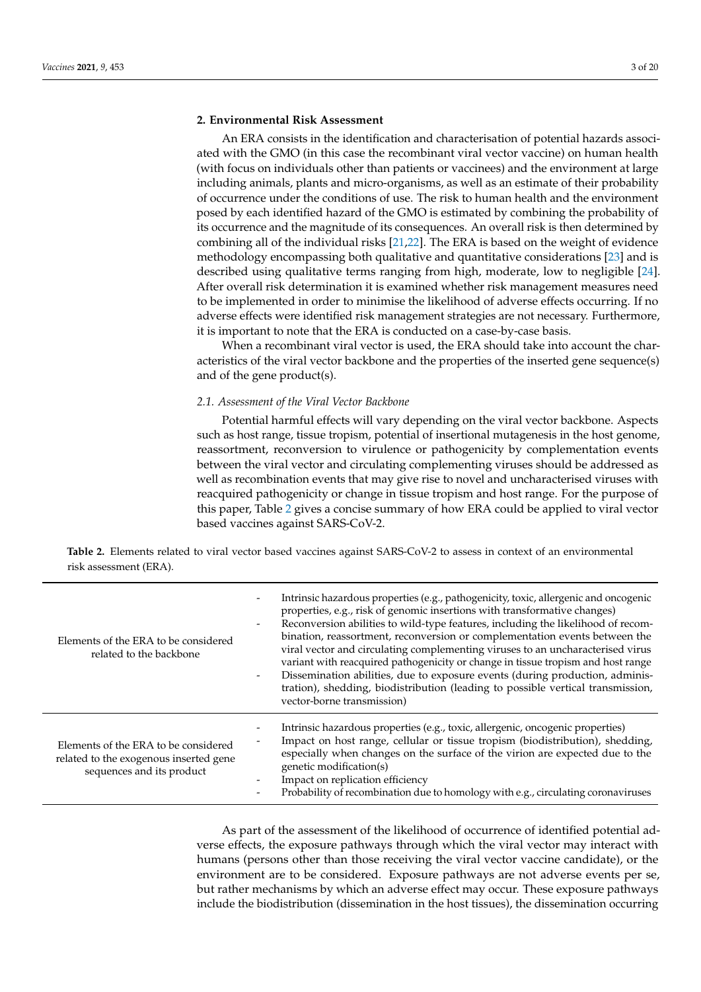## **2. Environmental Risk Assessment**

An ERA consists in the identification and characterisation of potential hazards associated with the GMO (in this case the recombinant viral vector vaccine) on human health (with focus on individuals other than patients or vaccinees) and the environment at large including animals, plants and micro-organisms, as well as an estimate of their probability of occurrence under the conditions of use. The risk to human health and the environment posed by each identified hazard of the GMO is estimated by combining the probability of its occurrence and the magnitude of its consequences. An overall risk is then determined by combining all of the individual risks [\[21,](#page-15-13)[22\]](#page-15-14). The ERA is based on the weight of evidence methodology encompassing both qualitative and quantitative considerations [\[23\]](#page-15-15) and is described using qualitative terms ranging from high, moderate, low to negligible [\[24\]](#page-15-16). After overall risk determination it is examined whether risk management measures need to be implemented in order to minimise the likelihood of adverse effects occurring. If no adverse effects were identified risk management strategies are not necessary. Furthermore, it is important to note that the ERA is conducted on a case-by-case basis.

When a recombinant viral vector is used, the ERA should take into account the characteristics of the viral vector backbone and the properties of the inserted gene sequence(s) and of the gene product(s).

#### *2.1. Assessment of the Viral Vector Backbone*

Potential harmful effects will vary depending on the viral vector backbone. Aspects such as host range, tissue tropism, potential of insertional mutagenesis in the host genome, reassortment, reconversion to virulence or pathogenicity by complementation events between the viral vector and circulating complementing viruses should be addressed as well as recombination events that may give rise to novel and uncharacterised viruses with reacquired pathogenicity or change in tissue tropism and host range. For the purpose of this paper, Table [2](#page-2-0) gives a concise summary of how ERA could be applied to viral vector based vaccines against SARS-CoV-2.

<span id="page-2-0"></span>**Table 2.** Elements related to viral vector based vaccines against SARS-CoV-2 to assess in context of an environmental risk assessment (ERA).

| Elements of the ERA to be considered<br>related to the backbone                                             | Intrinsic hazardous properties (e.g., pathogenicity, toxic, allergenic and oncogenic<br>properties, e.g., risk of genomic insertions with transformative changes)<br>Reconversion abilities to wild-type features, including the likelihood of recom-<br>bination, reassortment, reconversion or complementation events between the<br>viral vector and circulating complementing viruses to an uncharacterised virus<br>variant with reacquired pathogenicity or change in tissue tropism and host range<br>Dissemination abilities, due to exposure events (during production, adminis-<br>tration), shedding, biodistribution (leading to possible vertical transmission,<br>vector-borne transmission) |
|-------------------------------------------------------------------------------------------------------------|------------------------------------------------------------------------------------------------------------------------------------------------------------------------------------------------------------------------------------------------------------------------------------------------------------------------------------------------------------------------------------------------------------------------------------------------------------------------------------------------------------------------------------------------------------------------------------------------------------------------------------------------------------------------------------------------------------|
| Elements of the ERA to be considered<br>related to the exogenous inserted gene<br>sequences and its product | Intrinsic hazardous properties (e.g., toxic, allergenic, oncogenic properties)<br>Impact on host range, cellular or tissue tropism (biodistribution), shedding,<br>especially when changes on the surface of the virion are expected due to the<br>genetic modification(s)<br>Impact on replication efficiency<br>Probability of recombination due to homology with e.g., circulating coronaviruses                                                                                                                                                                                                                                                                                                        |

As part of the assessment of the likelihood of occurrence of identified potential adverse effects, the exposure pathways through which the viral vector may interact with humans (persons other than those receiving the viral vector vaccine candidate), or the environment are to be considered. Exposure pathways are not adverse events per se, but rather mechanisms by which an adverse effect may occur. These exposure pathways include the biodistribution (dissemination in the host tissues), the dissemination occurring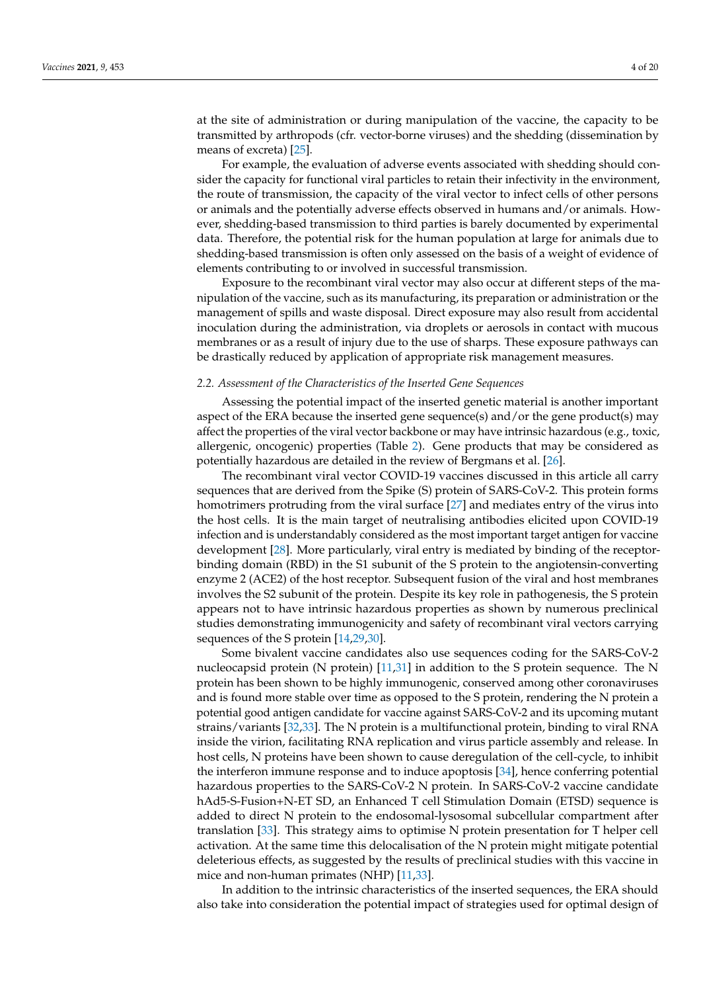at the site of administration or during manipulation of the vaccine, the capacity to be transmitted by arthropods (cfr. vector-borne viruses) and the shedding (dissemination by means of excreta) [\[25\]](#page-15-17).

For example, the evaluation of adverse events associated with shedding should consider the capacity for functional viral particles to retain their infectivity in the environment, the route of transmission, the capacity of the viral vector to infect cells of other persons or animals and the potentially adverse effects observed in humans and/or animals. However, shedding-based transmission to third parties is barely documented by experimental data. Therefore, the potential risk for the human population at large for animals due to shedding-based transmission is often only assessed on the basis of a weight of evidence of elements contributing to or involved in successful transmission.

Exposure to the recombinant viral vector may also occur at different steps of the manipulation of the vaccine, such as its manufacturing, its preparation or administration or the management of spills and waste disposal. Direct exposure may also result from accidental inoculation during the administration, via droplets or aerosols in contact with mucous membranes or as a result of injury due to the use of sharps. These exposure pathways can be drastically reduced by application of appropriate risk management measures.

### *2.2. Assessment of the Characteristics of the Inserted Gene Sequences*

Assessing the potential impact of the inserted genetic material is another important aspect of the ERA because the inserted gene sequence(s) and/or the gene product(s) may affect the properties of the viral vector backbone or may have intrinsic hazardous (e.g., toxic, allergenic, oncogenic) properties (Table [2\)](#page-2-0). Gene products that may be considered as potentially hazardous are detailed in the review of Bergmans et al. [\[26\]](#page-15-18).

The recombinant viral vector COVID-19 vaccines discussed in this article all carry sequences that are derived from the Spike (S) protein of SARS-CoV-2. This protein forms homotrimers protruding from the viral surface [\[27\]](#page-15-19) and mediates entry of the virus into the host cells. It is the main target of neutralising antibodies elicited upon COVID-19 infection and is understandably considered as the most important target antigen for vaccine development [\[28\]](#page-16-0). More particularly, viral entry is mediated by binding of the receptorbinding domain (RBD) in the S1 subunit of the S protein to the angiotensin-converting enzyme 2 (ACE2) of the host receptor. Subsequent fusion of the viral and host membranes involves the S2 subunit of the protein. Despite its key role in pathogenesis, the S protein appears not to have intrinsic hazardous properties as shown by numerous preclinical studies demonstrating immunogenicity and safety of recombinant viral vectors carrying sequences of the S protein [\[14](#page-15-6)[,29,](#page-16-1)[30\]](#page-16-2).

Some bivalent vaccine candidates also use sequences coding for the SARS-CoV-2 nucleocapsid protein (N protein) [\[11,](#page-15-3)[31\]](#page-16-3) in addition to the S protein sequence. The N protein has been shown to be highly immunogenic, conserved among other coronaviruses and is found more stable over time as opposed to the S protein, rendering the N protein a potential good antigen candidate for vaccine against SARS-CoV-2 and its upcoming mutant strains/variants [\[32](#page-16-4)[,33\]](#page-16-5). The N protein is a multifunctional protein, binding to viral RNA inside the virion, facilitating RNA replication and virus particle assembly and release. In host cells, N proteins have been shown to cause deregulation of the cell-cycle, to inhibit the interferon immune response and to induce apoptosis [\[34\]](#page-16-6), hence conferring potential hazardous properties to the SARS-CoV-2 N protein. In SARS-CoV-2 vaccine candidate hAd5-S-Fusion+N-ET SD, an Enhanced T cell Stimulation Domain (ETSD) sequence is added to direct N protein to the endosomal-lysosomal subcellular compartment after translation [\[33\]](#page-16-5). This strategy aims to optimise N protein presentation for T helper cell activation. At the same time this delocalisation of the N protein might mitigate potential deleterious effects, as suggested by the results of preclinical studies with this vaccine in mice and non-human primates (NHP) [\[11,](#page-15-3)[33\]](#page-16-5).

In addition to the intrinsic characteristics of the inserted sequences, the ERA should also take into consideration the potential impact of strategies used for optimal design of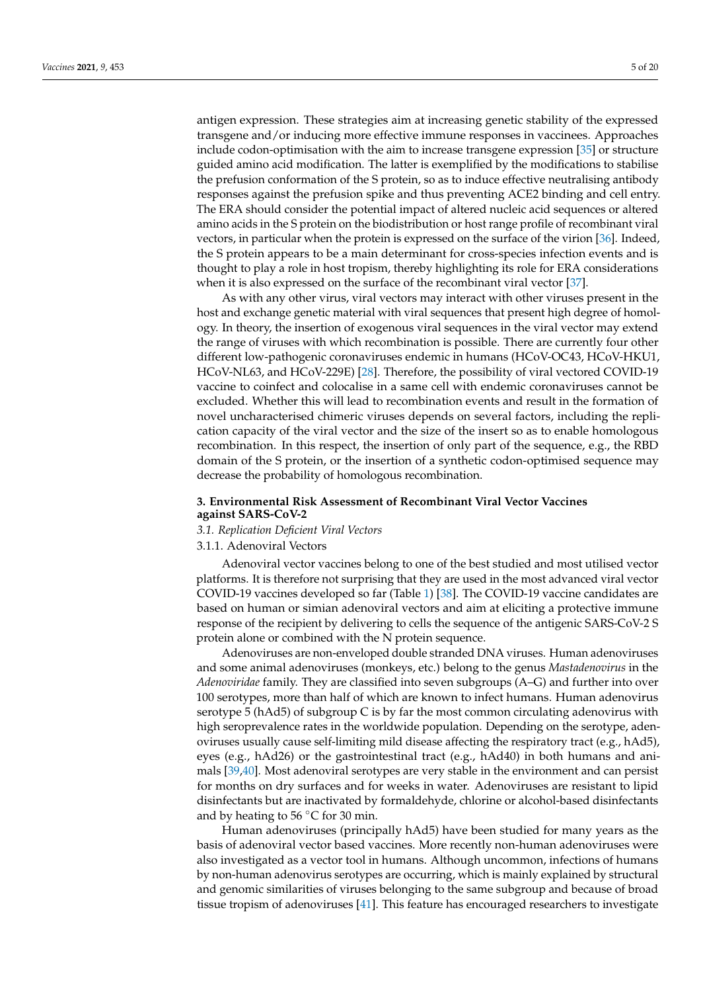antigen expression. These strategies aim at increasing genetic stability of the expressed transgene and/or inducing more effective immune responses in vaccinees. Approaches include codon-optimisation with the aim to increase transgene expression [\[35\]](#page-16-7) or structure guided amino acid modification. The latter is exemplified by the modifications to stabilise the prefusion conformation of the S protein, so as to induce effective neutralising antibody responses against the prefusion spike and thus preventing ACE2 binding and cell entry. The ERA should consider the potential impact of altered nucleic acid sequences or altered amino acids in the S protein on the biodistribution or host range profile of recombinant viral vectors, in particular when the protein is expressed on the surface of the virion [\[36\]](#page-16-8). Indeed, the S protein appears to be a main determinant for cross-species infection events and is thought to play a role in host tropism, thereby highlighting its role for ERA considerations when it is also expressed on the surface of the recombinant viral vector [\[37\]](#page-16-9).

As with any other virus, viral vectors may interact with other viruses present in the host and exchange genetic material with viral sequences that present high degree of homology. In theory, the insertion of exogenous viral sequences in the viral vector may extend the range of viruses with which recombination is possible. There are currently four other different low-pathogenic coronaviruses endemic in humans (HCoV-OC43, HCoV-HKU1, HCoV-NL63, and HCoV-229E) [\[28\]](#page-16-0). Therefore, the possibility of viral vectored COVID-19 vaccine to coinfect and colocalise in a same cell with endemic coronaviruses cannot be excluded. Whether this will lead to recombination events and result in the formation of novel uncharacterised chimeric viruses depends on several factors, including the replication capacity of the viral vector and the size of the insert so as to enable homologous recombination. In this respect, the insertion of only part of the sequence, e.g., the RBD domain of the S protein, or the insertion of a synthetic codon-optimised sequence may decrease the probability of homologous recombination.

#### **3. Environmental Risk Assessment of Recombinant Viral Vector Vaccines against SARS-CoV-2**

#### *3.1. Replication Deficient Viral Vectors*

## 3.1.1. Adenoviral Vectors

Adenoviral vector vaccines belong to one of the best studied and most utilised vector platforms. It is therefore not surprising that they are used in the most advanced viral vector COVID-19 vaccines developed so far (Table [1\)](#page-1-0) [\[38\]](#page-16-10). The COVID-19 vaccine candidates are based on human or simian adenoviral vectors and aim at eliciting a protective immune response of the recipient by delivering to cells the sequence of the antigenic SARS-CoV-2 S protein alone or combined with the N protein sequence.

Adenoviruses are non-enveloped double stranded DNA viruses. Human adenoviruses and some animal adenoviruses (monkeys, etc.) belong to the genus *Mastadenovirus* in the *Adenoviridae* family. They are classified into seven subgroups (A–G) and further into over 100 serotypes, more than half of which are known to infect humans. Human adenovirus serotype 5 (hAd5) of subgroup C is by far the most common circulating adenovirus with high seroprevalence rates in the worldwide population. Depending on the serotype, adenoviruses usually cause self-limiting mild disease affecting the respiratory tract (e.g., hAd5), eyes (e.g., hAd26) or the gastrointestinal tract (e.g., hAd40) in both humans and animals [\[39,](#page-16-11)[40\]](#page-16-12). Most adenoviral serotypes are very stable in the environment and can persist for months on dry surfaces and for weeks in water. Adenoviruses are resistant to lipid disinfectants but are inactivated by formaldehyde, chlorine or alcohol-based disinfectants and by heating to  $56 °C$  for 30 min.

Human adenoviruses (principally hAd5) have been studied for many years as the basis of adenoviral vector based vaccines. More recently non-human adenoviruses were also investigated as a vector tool in humans. Although uncommon, infections of humans by non-human adenovirus serotypes are occurring, which is mainly explained by structural and genomic similarities of viruses belonging to the same subgroup and because of broad tissue tropism of adenoviruses [\[41\]](#page-16-13). This feature has encouraged researchers to investigate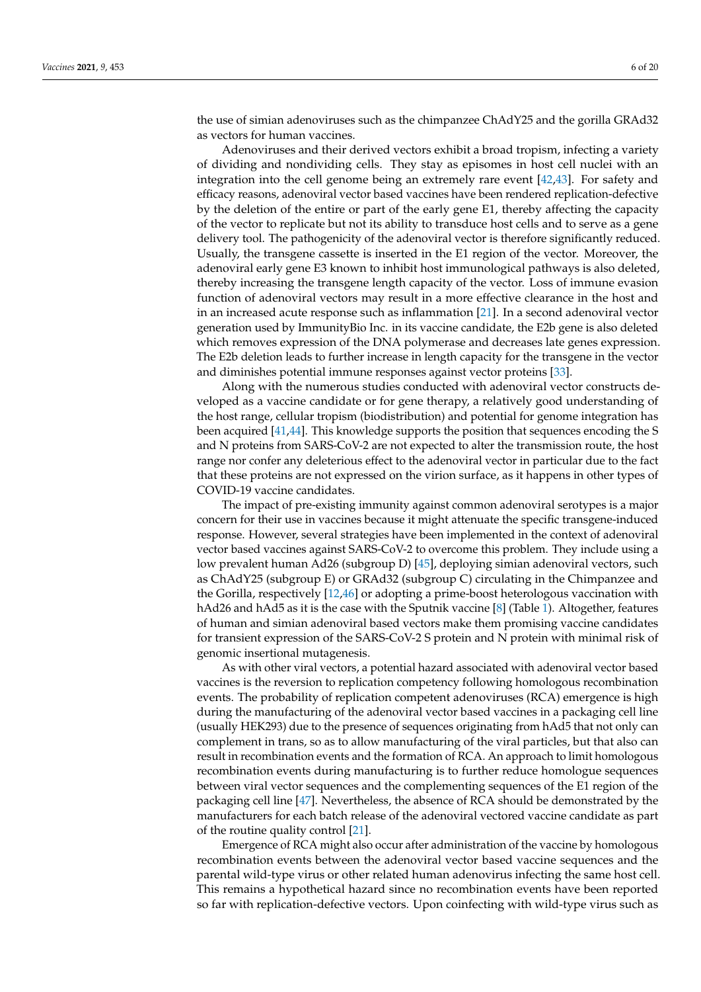the use of simian adenoviruses such as the chimpanzee ChAdY25 and the gorilla GRAd32 as vectors for human vaccines.

Adenoviruses and their derived vectors exhibit a broad tropism, infecting a variety of dividing and nondividing cells. They stay as episomes in host cell nuclei with an integration into the cell genome being an extremely rare event [\[42,](#page-16-14)[43\]](#page-16-15). For safety and efficacy reasons, adenoviral vector based vaccines have been rendered replication-defective by the deletion of the entire or part of the early gene E1, thereby affecting the capacity of the vector to replicate but not its ability to transduce host cells and to serve as a gene delivery tool. The pathogenicity of the adenoviral vector is therefore significantly reduced. Usually, the transgene cassette is inserted in the E1 region of the vector. Moreover, the adenoviral early gene E3 known to inhibit host immunological pathways is also deleted, thereby increasing the transgene length capacity of the vector. Loss of immune evasion function of adenoviral vectors may result in a more effective clearance in the host and in an increased acute response such as inflammation [\[21\]](#page-15-13). In a second adenoviral vector generation used by ImmunityBio Inc. in its vaccine candidate, the E2b gene is also deleted which removes expression of the DNA polymerase and decreases late genes expression. The E2b deletion leads to further increase in length capacity for the transgene in the vector and diminishes potential immune responses against vector proteins [\[33\]](#page-16-5).

Along with the numerous studies conducted with adenoviral vector constructs developed as a vaccine candidate or for gene therapy, a relatively good understanding of the host range, cellular tropism (biodistribution) and potential for genome integration has been acquired [\[41](#page-16-13)[,44\]](#page-16-16). This knowledge supports the position that sequences encoding the S and N proteins from SARS-CoV-2 are not expected to alter the transmission route, the host range nor confer any deleterious effect to the adenoviral vector in particular due to the fact that these proteins are not expressed on the virion surface, as it happens in other types of COVID-19 vaccine candidates.

The impact of pre-existing immunity against common adenoviral serotypes is a major concern for their use in vaccines because it might attenuate the specific transgene-induced response. However, several strategies have been implemented in the context of adenoviral vector based vaccines against SARS-CoV-2 to overcome this problem. They include using a low prevalent human Ad26 (subgroup D) [\[45\]](#page-16-17), deploying simian adenoviral vectors, such as ChAdY25 (subgroup E) or GRAd32 (subgroup C) circulating in the Chimpanzee and the Gorilla, respectively [\[12,](#page-15-4)[46\]](#page-16-18) or adopting a prime-boost heterologous vaccination with hAd26 and hAd5 as it is the case with the Sputnik vaccine [\[8\]](#page-15-0) (Table [1\)](#page-1-0). Altogether, features of human and simian adenoviral based vectors make them promising vaccine candidates for transient expression of the SARS-CoV-2 S protein and N protein with minimal risk of genomic insertional mutagenesis.

As with other viral vectors, a potential hazard associated with adenoviral vector based vaccines is the reversion to replication competency following homologous recombination events. The probability of replication competent adenoviruses (RCA) emergence is high during the manufacturing of the adenoviral vector based vaccines in a packaging cell line (usually HEK293) due to the presence of sequences originating from hAd5 that not only can complement in trans, so as to allow manufacturing of the viral particles, but that also can result in recombination events and the formation of RCA. An approach to limit homologous recombination events during manufacturing is to further reduce homologue sequences between viral vector sequences and the complementing sequences of the E1 region of the packaging cell line [\[47\]](#page-16-19). Nevertheless, the absence of RCA should be demonstrated by the manufacturers for each batch release of the adenoviral vectored vaccine candidate as part of the routine quality control [\[21\]](#page-15-13).

Emergence of RCA might also occur after administration of the vaccine by homologous recombination events between the adenoviral vector based vaccine sequences and the parental wild-type virus or other related human adenovirus infecting the same host cell. This remains a hypothetical hazard since no recombination events have been reported so far with replication-defective vectors. Upon coinfecting with wild-type virus such as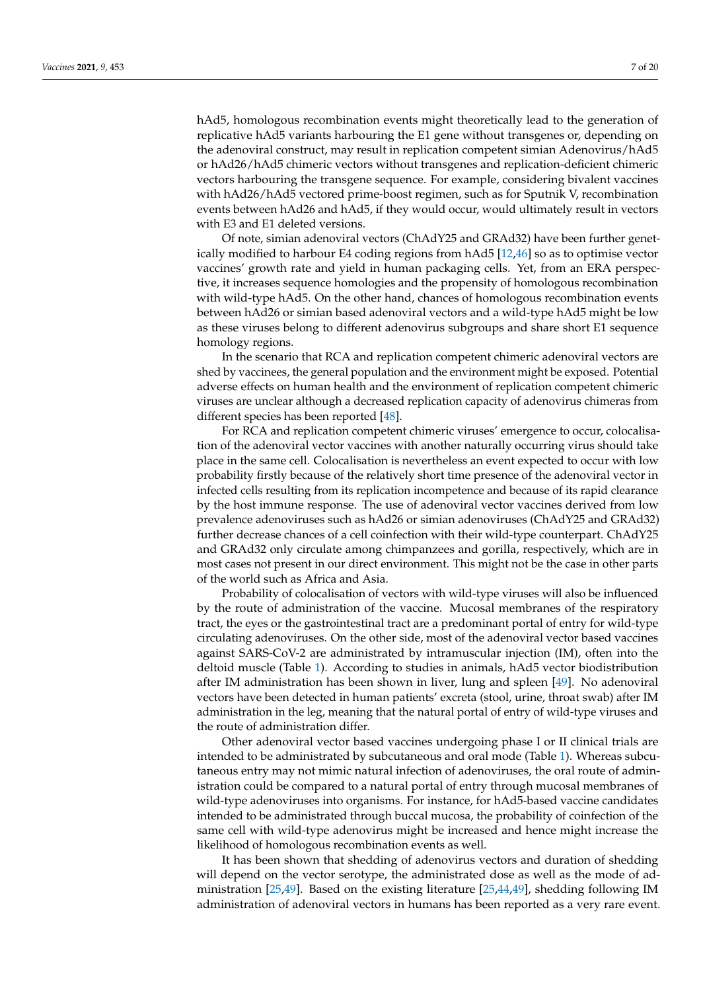hAd5, homologous recombination events might theoretically lead to the generation of replicative hAd5 variants harbouring the E1 gene without transgenes or, depending on the adenoviral construct, may result in replication competent simian Adenovirus/hAd5 or hAd26/hAd5 chimeric vectors without transgenes and replication-deficient chimeric vectors harbouring the transgene sequence. For example, considering bivalent vaccines with hAd26/hAd5 vectored prime-boost regimen, such as for Sputnik V, recombination events between hAd26 and hAd5, if they would occur, would ultimately result in vectors with E3 and E1 deleted versions.

Of note, simian adenoviral vectors (ChAdY25 and GRAd32) have been further genetically modified to harbour E4 coding regions from hAd5 [\[12,](#page-15-4)[46\]](#page-16-18) so as to optimise vector vaccines' growth rate and yield in human packaging cells. Yet, from an ERA perspective, it increases sequence homologies and the propensity of homologous recombination with wild-type hAd5. On the other hand, chances of homologous recombination events between hAd26 or simian based adenoviral vectors and a wild-type hAd5 might be low as these viruses belong to different adenovirus subgroups and share short E1 sequence homology regions.

In the scenario that RCA and replication competent chimeric adenoviral vectors are shed by vaccinees, the general population and the environment might be exposed. Potential adverse effects on human health and the environment of replication competent chimeric viruses are unclear although a decreased replication capacity of adenovirus chimeras from different species has been reported [\[48\]](#page-16-20).

For RCA and replication competent chimeric viruses' emergence to occur, colocalisation of the adenoviral vector vaccines with another naturally occurring virus should take place in the same cell. Colocalisation is nevertheless an event expected to occur with low probability firstly because of the relatively short time presence of the adenoviral vector in infected cells resulting from its replication incompetence and because of its rapid clearance by the host immune response. The use of adenoviral vector vaccines derived from low prevalence adenoviruses such as hAd26 or simian adenoviruses (ChAdY25 and GRAd32) further decrease chances of a cell coinfection with their wild-type counterpart. ChAdY25 and GRAd32 only circulate among chimpanzees and gorilla, respectively, which are in most cases not present in our direct environment. This might not be the case in other parts of the world such as Africa and Asia.

Probability of colocalisation of vectors with wild-type viruses will also be influenced by the route of administration of the vaccine. Mucosal membranes of the respiratory tract, the eyes or the gastrointestinal tract are a predominant portal of entry for wild-type circulating adenoviruses. On the other side, most of the adenoviral vector based vaccines against SARS-CoV-2 are administrated by intramuscular injection (IM), often into the deltoid muscle (Table [1\)](#page-1-0). According to studies in animals, hAd5 vector biodistribution after IM administration has been shown in liver, lung and spleen [\[49\]](#page-16-21). No adenoviral vectors have been detected in human patients' excreta (stool, urine, throat swab) after IM administration in the leg, meaning that the natural portal of entry of wild-type viruses and the route of administration differ.

Other adenoviral vector based vaccines undergoing phase I or II clinical trials are intended to be administrated by subcutaneous and oral mode (Table [1\)](#page-1-0). Whereas subcutaneous entry may not mimic natural infection of adenoviruses, the oral route of administration could be compared to a natural portal of entry through mucosal membranes of wild-type adenoviruses into organisms. For instance, for hAd5-based vaccine candidates intended to be administrated through buccal mucosa, the probability of coinfection of the same cell with wild-type adenovirus might be increased and hence might increase the likelihood of homologous recombination events as well.

It has been shown that shedding of adenovirus vectors and duration of shedding will depend on the vector serotype, the administrated dose as well as the mode of administration [\[25,](#page-15-17)[49\]](#page-16-21). Based on the existing literature [\[25](#page-15-17)[,44](#page-16-16)[,49\]](#page-16-21), shedding following IM administration of adenoviral vectors in humans has been reported as a very rare event.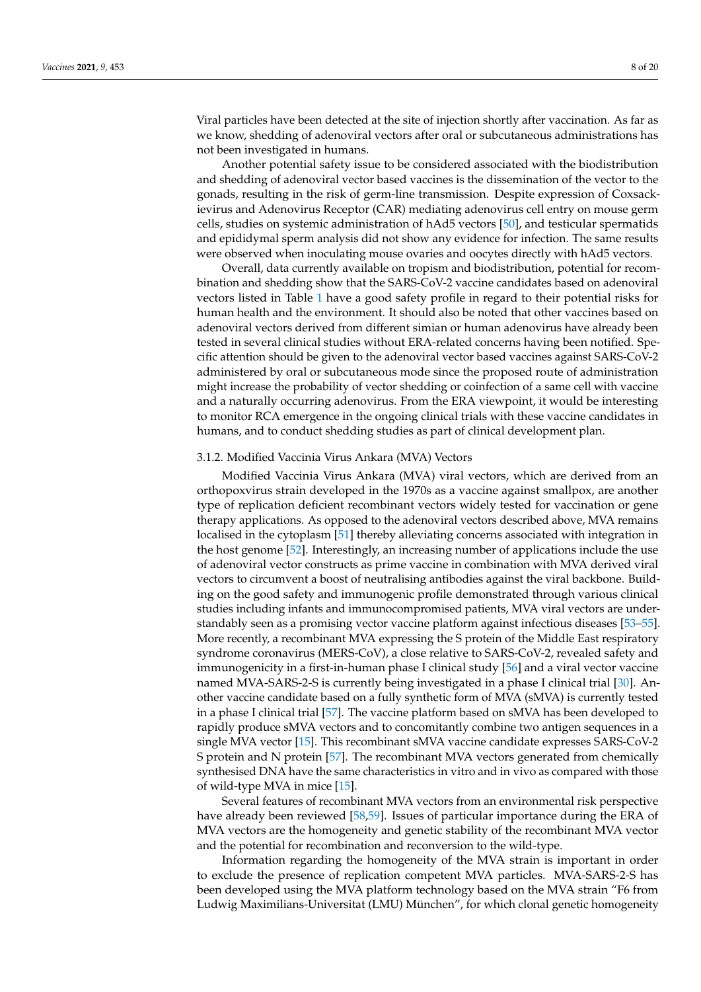Viral particles have been detected at the site of injection shortly after vaccination. As far as we know, shedding of adenoviral vectors after oral or subcutaneous administrations has not been investigated in humans.

Another potential safety issue to be considered associated with the biodistribution and shedding of adenoviral vector based vaccines is the dissemination of the vector to the gonads, resulting in the risk of germ-line transmission. Despite expression of Coxsackievirus and Adenovirus Receptor (CAR) mediating adenovirus cell entry on mouse germ cells, studies on systemic administration of hAd5 vectors [\[50\]](#page-16-22), and testicular spermatids and epididymal sperm analysis did not show any evidence for infection. The same results were observed when inoculating mouse ovaries and oocytes directly with hAd5 vectors.

Overall, data currently available on tropism and biodistribution, potential for recombination and shedding show that the SARS-CoV-2 vaccine candidates based on adenoviral vectors listed in Table [1](#page-1-0) have a good safety profile in regard to their potential risks for human health and the environment. It should also be noted that other vaccines based on adenoviral vectors derived from different simian or human adenovirus have already been tested in several clinical studies without ERA-related concerns having been notified. Specific attention should be given to the adenoviral vector based vaccines against SARS-CoV-2 administered by oral or subcutaneous mode since the proposed route of administration might increase the probability of vector shedding or coinfection of a same cell with vaccine and a naturally occurring adenovirus. From the ERA viewpoint, it would be interesting to monitor RCA emergence in the ongoing clinical trials with these vaccine candidates in humans, and to conduct shedding studies as part of clinical development plan.

## 3.1.2. Modified Vaccinia Virus Ankara (MVA) Vectors

Modified Vaccinia Virus Ankara (MVA) viral vectors, which are derived from an orthopoxvirus strain developed in the 1970s as a vaccine against smallpox, are another type of replication deficient recombinant vectors widely tested for vaccination or gene therapy applications. As opposed to the adenoviral vectors described above, MVA remains localised in the cytoplasm [\[51\]](#page-16-23) thereby alleviating concerns associated with integration in the host genome [\[52\]](#page-16-24). Interestingly, an increasing number of applications include the use of adenoviral vector constructs as prime vaccine in combination with MVA derived viral vectors to circumvent a boost of neutralising antibodies against the viral backbone. Building on the good safety and immunogenic profile demonstrated through various clinical studies including infants and immunocompromised patients, MVA viral vectors are understandably seen as a promising vector vaccine platform against infectious diseases [\[53](#page-17-0)[–55\]](#page-17-1). More recently, a recombinant MVA expressing the S protein of the Middle East respiratory syndrome coronavirus (MERS-CoV), a close relative to SARS-CoV-2, revealed safety and immunogenicity in a first-in-human phase I clinical study [\[56\]](#page-17-2) and a viral vector vaccine named MVA-SARS-2-S is currently being investigated in a phase I clinical trial [\[30\]](#page-16-2). Another vaccine candidate based on a fully synthetic form of MVA (sMVA) is currently tested in a phase I clinical trial [\[57\]](#page-17-3). The vaccine platform based on sMVA has been developed to rapidly produce sMVA vectors and to concomitantly combine two antigen sequences in a single MVA vector [\[15\]](#page-15-7). This recombinant sMVA vaccine candidate expresses SARS-CoV-2 S protein and N protein [\[57\]](#page-17-3). The recombinant MVA vectors generated from chemically synthesised DNA have the same characteristics in vitro and in vivo as compared with those of wild-type MVA in mice [\[15\]](#page-15-7).

Several features of recombinant MVA vectors from an environmental risk perspective have already been reviewed [\[58](#page-17-4)[,59\]](#page-17-5). Issues of particular importance during the ERA of MVA vectors are the homogeneity and genetic stability of the recombinant MVA vector and the potential for recombination and reconversion to the wild-type.

Information regarding the homogeneity of the MVA strain is important in order to exclude the presence of replication competent MVA particles. MVA-SARS-2-S has been developed using the MVA platform technology based on the MVA strain "F6 from Ludwig Maximilians-Universitat (LMU) München", for which clonal genetic homogeneity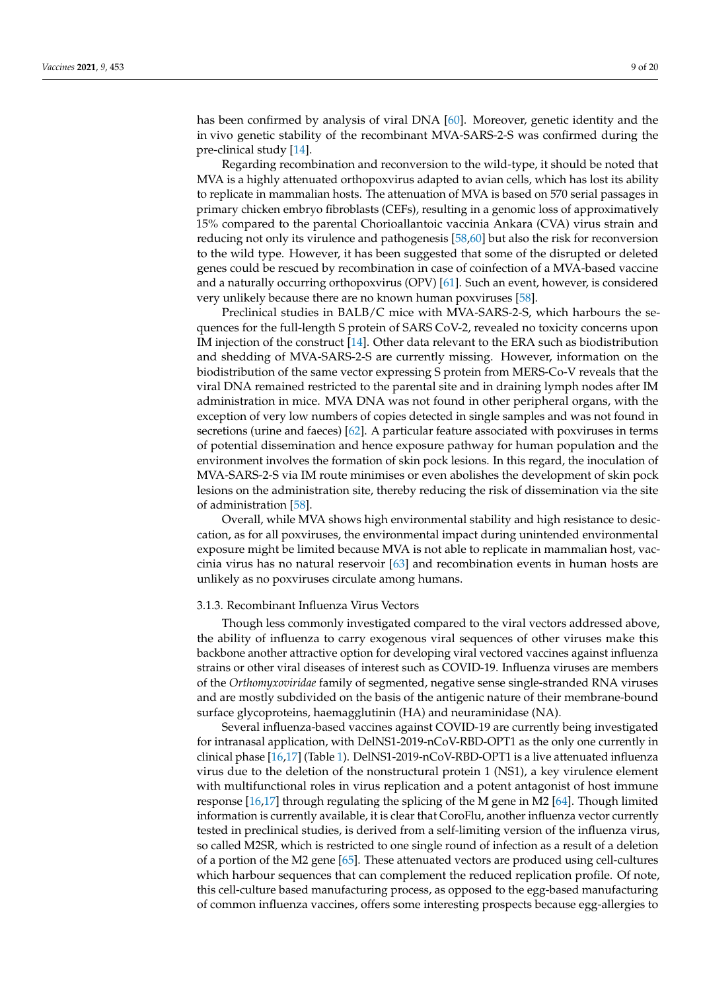has been confirmed by analysis of viral DNA [\[60\]](#page-17-6). Moreover, genetic identity and the in vivo genetic stability of the recombinant MVA-SARS-2-S was confirmed during the pre-clinical study [\[14\]](#page-15-6).

Regarding recombination and reconversion to the wild-type, it should be noted that MVA is a highly attenuated orthopoxvirus adapted to avian cells, which has lost its ability to replicate in mammalian hosts. The attenuation of MVA is based on 570 serial passages in primary chicken embryo fibroblasts (CEFs), resulting in a genomic loss of approximatively 15% compared to the parental Chorioallantoic vaccinia Ankara (CVA) virus strain and reducing not only its virulence and pathogenesis [\[58,](#page-17-4)[60\]](#page-17-6) but also the risk for reconversion to the wild type. However, it has been suggested that some of the disrupted or deleted genes could be rescued by recombination in case of coinfection of a MVA-based vaccine and a naturally occurring orthopoxvirus (OPV) [\[61\]](#page-17-7). Such an event, however, is considered very unlikely because there are no known human poxviruses [\[58\]](#page-17-4).

Preclinical studies in BALB/C mice with MVA-SARS-2-S, which harbours the sequences for the full-length S protein of SARS CoV-2, revealed no toxicity concerns upon IM injection of the construct [\[14\]](#page-15-6). Other data relevant to the ERA such as biodistribution and shedding of MVA-SARS-2-S are currently missing. However, information on the biodistribution of the same vector expressing S protein from MERS-Co-V reveals that the viral DNA remained restricted to the parental site and in draining lymph nodes after IM administration in mice. MVA DNA was not found in other peripheral organs, with the exception of very low numbers of copies detected in single samples and was not found in secretions (urine and faeces) [\[62\]](#page-17-8). A particular feature associated with poxviruses in terms of potential dissemination and hence exposure pathway for human population and the environment involves the formation of skin pock lesions. In this regard, the inoculation of MVA-SARS-2-S via IM route minimises or even abolishes the development of skin pock lesions on the administration site, thereby reducing the risk of dissemination via the site of administration [\[58\]](#page-17-4).

Overall, while MVA shows high environmental stability and high resistance to desiccation, as for all poxviruses, the environmental impact during unintended environmental exposure might be limited because MVA is not able to replicate in mammalian host, vaccinia virus has no natural reservoir [\[63\]](#page-17-9) and recombination events in human hosts are unlikely as no poxviruses circulate among humans.

# 3.1.3. Recombinant Influenza Virus Vectors

Though less commonly investigated compared to the viral vectors addressed above, the ability of influenza to carry exogenous viral sequences of other viruses make this backbone another attractive option for developing viral vectored vaccines against influenza strains or other viral diseases of interest such as COVID-19. Influenza viruses are members of the *Orthomyxoviridae* family of segmented, negative sense single-stranded RNA viruses and are mostly subdivided on the basis of the antigenic nature of their membrane-bound surface glycoproteins, haemagglutinin (HA) and neuraminidase (NA).

Several influenza-based vaccines against COVID-19 are currently being investigated for intranasal application, with DelNS1-2019-nCoV-RBD-OPT1 as the only one currently in clinical phase [\[16](#page-15-8)[,17\]](#page-15-9) (Table [1\)](#page-1-0). DelNS1-2019-nCoV-RBD-OPT1 is a live attenuated influenza virus due to the deletion of the nonstructural protein 1 (NS1), a key virulence element with multifunctional roles in virus replication and a potent antagonist of host immune response [\[16,](#page-15-8)[17\]](#page-15-9) through regulating the splicing of the M gene in M2 [\[64\]](#page-17-10). Though limited information is currently available, it is clear that CoroFlu, another influenza vector currently tested in preclinical studies, is derived from a self-limiting version of the influenza virus, so called M2SR, which is restricted to one single round of infection as a result of a deletion of a portion of the M2 gene [\[65\]](#page-17-11). These attenuated vectors are produced using cell-cultures which harbour sequences that can complement the reduced replication profile. Of note, this cell-culture based manufacturing process, as opposed to the egg-based manufacturing of common influenza vaccines, offers some interesting prospects because egg-allergies to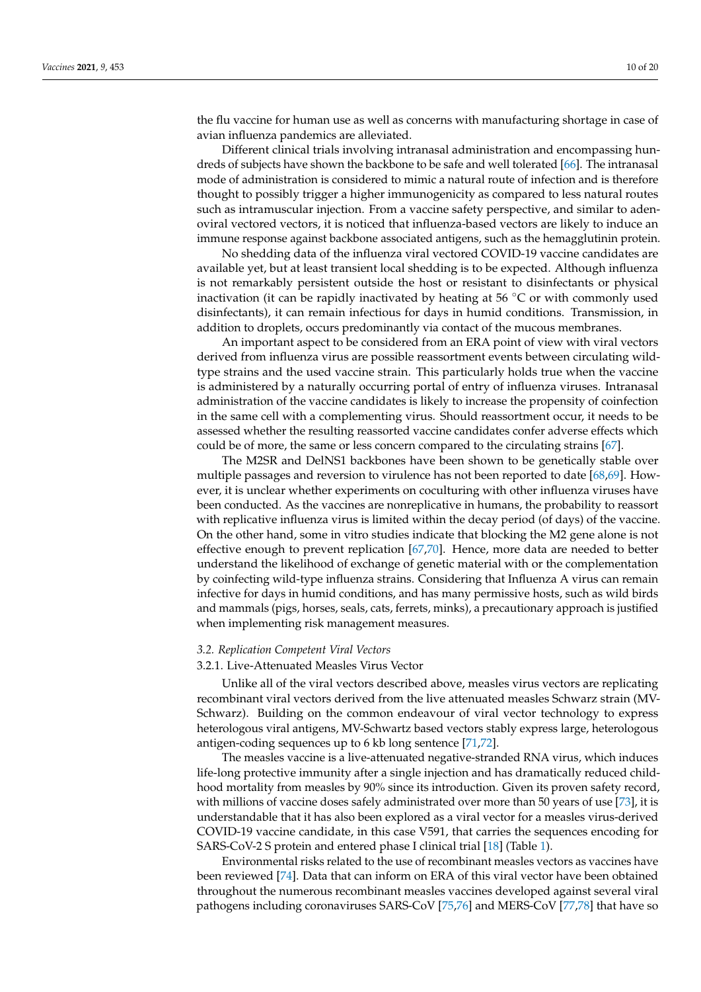the flu vaccine for human use as well as concerns with manufacturing shortage in case of avian influenza pandemics are alleviated.

Different clinical trials involving intranasal administration and encompassing hundreds of subjects have shown the backbone to be safe and well tolerated [\[66\]](#page-17-12). The intranasal mode of administration is considered to mimic a natural route of infection and is therefore thought to possibly trigger a higher immunogenicity as compared to less natural routes such as intramuscular injection. From a vaccine safety perspective, and similar to adenoviral vectored vectors, it is noticed that influenza-based vectors are likely to induce an immune response against backbone associated antigens, such as the hemagglutinin protein.

No shedding data of the influenza viral vectored COVID-19 vaccine candidates are available yet, but at least transient local shedding is to be expected. Although influenza is not remarkably persistent outside the host or resistant to disinfectants or physical inactivation (it can be rapidly inactivated by heating at 56 ◦C or with commonly used disinfectants), it can remain infectious for days in humid conditions. Transmission, in addition to droplets, occurs predominantly via contact of the mucous membranes.

An important aspect to be considered from an ERA point of view with viral vectors derived from influenza virus are possible reassortment events between circulating wildtype strains and the used vaccine strain. This particularly holds true when the vaccine is administered by a naturally occurring portal of entry of influenza viruses. Intranasal administration of the vaccine candidates is likely to increase the propensity of coinfection in the same cell with a complementing virus. Should reassortment occur, it needs to be assessed whether the resulting reassorted vaccine candidates confer adverse effects which could be of more, the same or less concern compared to the circulating strains [\[67\]](#page-17-13).

The M2SR and DelNS1 backbones have been shown to be genetically stable over multiple passages and reversion to virulence has not been reported to date [\[68](#page-17-14)[,69\]](#page-17-15). However, it is unclear whether experiments on coculturing with other influenza viruses have been conducted. As the vaccines are nonreplicative in humans, the probability to reassort with replicative influenza virus is limited within the decay period (of days) of the vaccine. On the other hand, some in vitro studies indicate that blocking the M2 gene alone is not effective enough to prevent replication [\[67,](#page-17-13)[70\]](#page-17-16). Hence, more data are needed to better understand the likelihood of exchange of genetic material with or the complementation by coinfecting wild-type influenza strains. Considering that Influenza A virus can remain infective for days in humid conditions, and has many permissive hosts, such as wild birds and mammals (pigs, horses, seals, cats, ferrets, minks), a precautionary approach is justified when implementing risk management measures.

#### *3.2. Replication Competent Viral Vectors*

#### 3.2.1. Live-Attenuated Measles Virus Vector

Unlike all of the viral vectors described above, measles virus vectors are replicating recombinant viral vectors derived from the live attenuated measles Schwarz strain (MV-Schwarz). Building on the common endeavour of viral vector technology to express heterologous viral antigens, MV-Schwartz based vectors stably express large, heterologous antigen-coding sequences up to 6 kb long sentence [\[71](#page-17-17)[,72\]](#page-17-18).

The measles vaccine is a live-attenuated negative-stranded RNA virus, which induces life-long protective immunity after a single injection and has dramatically reduced childhood mortality from measles by 90% since its introduction. Given its proven safety record, with millions of vaccine doses safely administrated over more than 50 years of use [\[73\]](#page-17-19), it is understandable that it has also been explored as a viral vector for a measles virus-derived COVID-19 vaccine candidate, in this case V591, that carries the sequences encoding for SARS-CoV-2 S protein and entered phase I clinical trial [\[18\]](#page-15-10) (Table [1\)](#page-1-0).

Environmental risks related to the use of recombinant measles vectors as vaccines have been reviewed [\[74\]](#page-17-20). Data that can inform on ERA of this viral vector have been obtained throughout the numerous recombinant measles vaccines developed against several viral pathogens including coronaviruses SARS-CoV [\[75](#page-17-21)[,76\]](#page-17-22) and MERS-CoV [\[77](#page-18-0)[,78\]](#page-18-1) that have so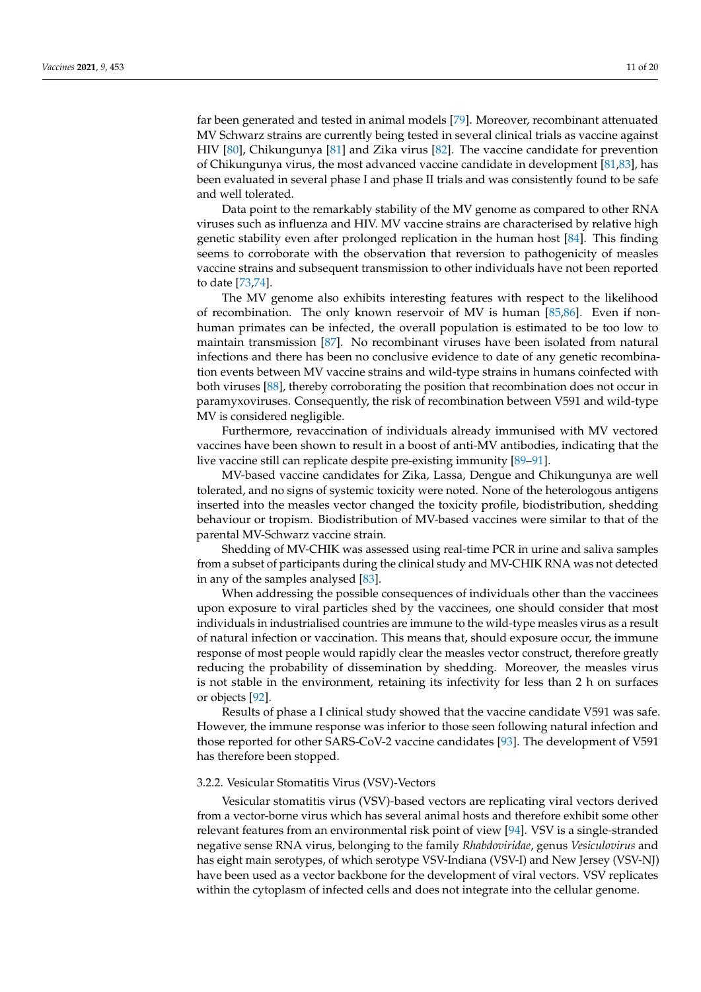far been generated and tested in animal models [\[79\]](#page-18-2). Moreover, recombinant attenuated MV Schwarz strains are currently being tested in several clinical trials as vaccine against HIV [\[80\]](#page-18-3), Chikungunya [\[81\]](#page-18-4) and Zika virus [\[82\]](#page-18-5). The vaccine candidate for prevention of Chikungunya virus, the most advanced vaccine candidate in development [\[81](#page-18-4)[,83\]](#page-18-6), has been evaluated in several phase I and phase II trials and was consistently found to be safe and well tolerated.

Data point to the remarkably stability of the MV genome as compared to other RNA viruses such as influenza and HIV. MV vaccine strains are characterised by relative high genetic stability even after prolonged replication in the human host [\[84\]](#page-18-7). This finding seems to corroborate with the observation that reversion to pathogenicity of measles vaccine strains and subsequent transmission to other individuals have not been reported to date [\[73](#page-17-19)[,74\]](#page-17-20).

The MV genome also exhibits interesting features with respect to the likelihood of recombination. The only known reservoir of MV is human [\[85](#page-18-8)[,86\]](#page-18-9). Even if nonhuman primates can be infected, the overall population is estimated to be too low to maintain transmission [\[87\]](#page-18-10). No recombinant viruses have been isolated from natural infections and there has been no conclusive evidence to date of any genetic recombination events between MV vaccine strains and wild-type strains in humans coinfected with both viruses [\[88\]](#page-18-11), thereby corroborating the position that recombination does not occur in paramyxoviruses. Consequently, the risk of recombination between V591 and wild-type MV is considered negligible.

Furthermore, revaccination of individuals already immunised with MV vectored vaccines have been shown to result in a boost of anti-MV antibodies, indicating that the live vaccine still can replicate despite pre-existing immunity [\[89](#page-18-12)[–91\]](#page-18-13).

MV-based vaccine candidates for Zika, Lassa, Dengue and Chikungunya are well tolerated, and no signs of systemic toxicity were noted. None of the heterologous antigens inserted into the measles vector changed the toxicity profile, biodistribution, shedding behaviour or tropism. Biodistribution of MV-based vaccines were similar to that of the parental MV-Schwarz vaccine strain.

Shedding of MV-CHIK was assessed using real-time PCR in urine and saliva samples from a subset of participants during the clinical study and MV-CHIK RNA was not detected in any of the samples analysed [\[83\]](#page-18-6).

When addressing the possible consequences of individuals other than the vaccinees upon exposure to viral particles shed by the vaccinees, one should consider that most individuals in industrialised countries are immune to the wild-type measles virus as a result of natural infection or vaccination. This means that, should exposure occur, the immune response of most people would rapidly clear the measles vector construct, therefore greatly reducing the probability of dissemination by shedding. Moreover, the measles virus is not stable in the environment, retaining its infectivity for less than 2 h on surfaces or objects [\[92\]](#page-18-14).

Results of phase a I clinical study showed that the vaccine candidate V591 was safe. However, the immune response was inferior to those seen following natural infection and those reported for other SARS-CoV-2 vaccine candidates [\[93\]](#page-18-15). The development of V591 has therefore been stopped.

#### 3.2.2. Vesicular Stomatitis Virus (VSV)-Vectors

Vesicular stomatitis virus (VSV)-based vectors are replicating viral vectors derived from a vector-borne virus which has several animal hosts and therefore exhibit some other relevant features from an environmental risk point of view [\[94\]](#page-18-16). VSV is a single-stranded negative sense RNA virus, belonging to the family *Rhabdoviridae*, genus *Vesiculovirus* and has eight main serotypes, of which serotype VSV-Indiana (VSV-I) and New Jersey (VSV-NJ) have been used as a vector backbone for the development of viral vectors. VSV replicates within the cytoplasm of infected cells and does not integrate into the cellular genome.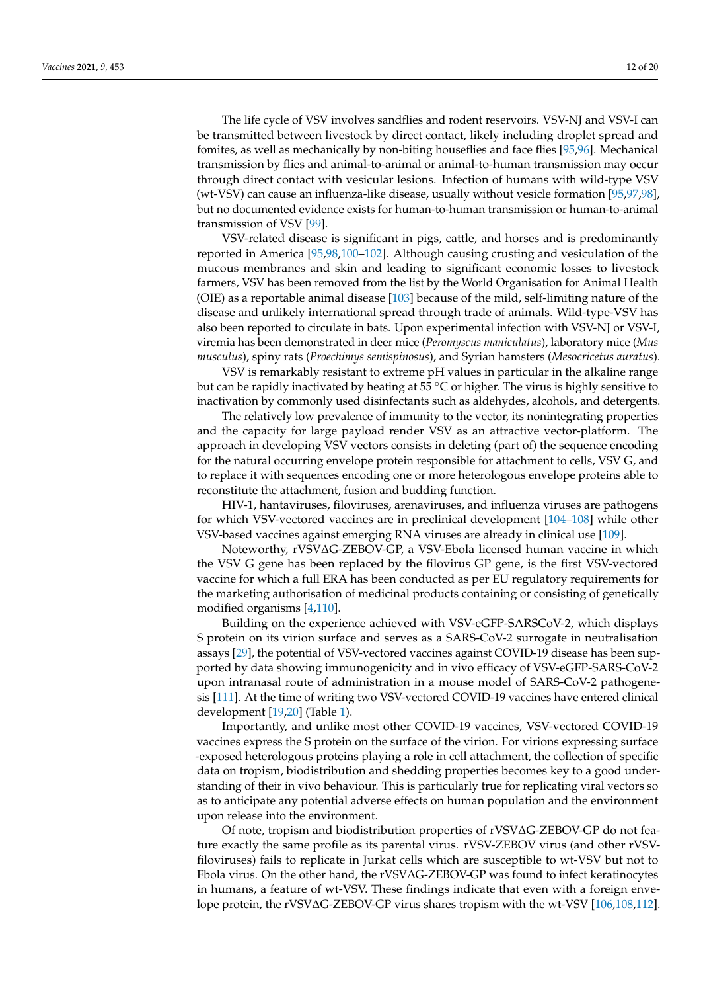The life cycle of VSV involves sandflies and rodent reservoirs. VSV-NJ and VSV-I can be transmitted between livestock by direct contact, likely including droplet spread and fomites, as well as mechanically by non-biting houseflies and face flies [\[95](#page-18-17)[,96\]](#page-18-18). Mechanical transmission by flies and animal-to-animal or animal-to-human transmission may occur through direct contact with vesicular lesions. Infection of humans with wild-type VSV (wt-VSV) can cause an influenza-like disease, usually without vesicle formation [\[95](#page-18-17)[,97](#page-18-19)[,98\]](#page-18-20),

transmission of VSV [\[99\]](#page-18-21). VSV-related disease is significant in pigs, cattle, and horses and is predominantly reported in America [\[95,](#page-18-17)[98,](#page-18-20)[100–](#page-18-22)[102\]](#page-19-0). Although causing crusting and vesiculation of the mucous membranes and skin and leading to significant economic losses to livestock farmers, VSV has been removed from the list by the World Organisation for Animal Health (OIE) as a reportable animal disease [\[103\]](#page-19-1) because of the mild, self-limiting nature of the disease and unlikely international spread through trade of animals. Wild-type-VSV has also been reported to circulate in bats. Upon experimental infection with VSV-NJ or VSV-I, viremia has been demonstrated in deer mice (*Peromyscus maniculatus*), laboratory mice (*Mus musculus*), spiny rats (*Proechimys semispinosus*), and Syrian hamsters (*Mesocricetus auratus*).

but no documented evidence exists for human-to-human transmission or human-to-animal

VSV is remarkably resistant to extreme pH values in particular in the alkaline range but can be rapidly inactivated by heating at  $55^{\circ}$ C or higher. The virus is highly sensitive to inactivation by commonly used disinfectants such as aldehydes, alcohols, and detergents.

The relatively low prevalence of immunity to the vector, its nonintegrating properties and the capacity for large payload render VSV as an attractive vector-platform. The approach in developing VSV vectors consists in deleting (part of) the sequence encoding for the natural occurring envelope protein responsible for attachment to cells, VSV G, and to replace it with sequences encoding one or more heterologous envelope proteins able to reconstitute the attachment, fusion and budding function.

HIV-1, hantaviruses, filoviruses, arenaviruses, and influenza viruses are pathogens for which VSV-vectored vaccines are in preclinical development [\[104–](#page-19-2)[108\]](#page-19-3) while other VSV-based vaccines against emerging RNA viruses are already in clinical use [\[109\]](#page-19-4).

Noteworthy, rVSV∆G-ZEBOV-GP, a VSV-Ebola licensed human vaccine in which the VSV G gene has been replaced by the filovirus GP gene, is the first VSV-vectored vaccine for which a full ERA has been conducted as per EU regulatory requirements for the marketing authorisation of medicinal products containing or consisting of genetically modified organisms [\[4](#page-14-3)[,110\]](#page-19-5).

Building on the experience achieved with VSV-eGFP-SARSCoV-2, which displays S protein on its virion surface and serves as a SARS-CoV-2 surrogate in neutralisation assays [\[29\]](#page-16-1), the potential of VSV-vectored vaccines against COVID-19 disease has been supported by data showing immunogenicity and in vivo efficacy of VSV-eGFP-SARS-CoV-2 upon intranasal route of administration in a mouse model of SARS-CoV-2 pathogenesis [\[111\]](#page-19-6). At the time of writing two VSV-vectored COVID-19 vaccines have entered clinical development [\[19,](#page-15-11)[20\]](#page-15-12) (Table [1\)](#page-1-0).

Importantly, and unlike most other COVID-19 vaccines, VSV-vectored COVID-19 vaccines express the S protein on the surface of the virion. For virions expressing surface -exposed heterologous proteins playing a role in cell attachment, the collection of specific data on tropism, biodistribution and shedding properties becomes key to a good understanding of their in vivo behaviour. This is particularly true for replicating viral vectors so as to anticipate any potential adverse effects on human population and the environment upon release into the environment.

Of note, tropism and biodistribution properties of rVSV∆G-ZEBOV-GP do not feature exactly the same profile as its parental virus. rVSV-ZEBOV virus (and other rVSVfiloviruses) fails to replicate in Jurkat cells which are susceptible to wt-VSV but not to Ebola virus. On the other hand, the rVSV∆G-ZEBOV-GP was found to infect keratinocytes in humans, a feature of wt-VSV. These findings indicate that even with a foreign envelope protein, the rVSV∆G-ZEBOV-GP virus shares tropism with the wt-VSV [\[106](#page-19-7)[,108](#page-19-3)[,112\]](#page-19-8).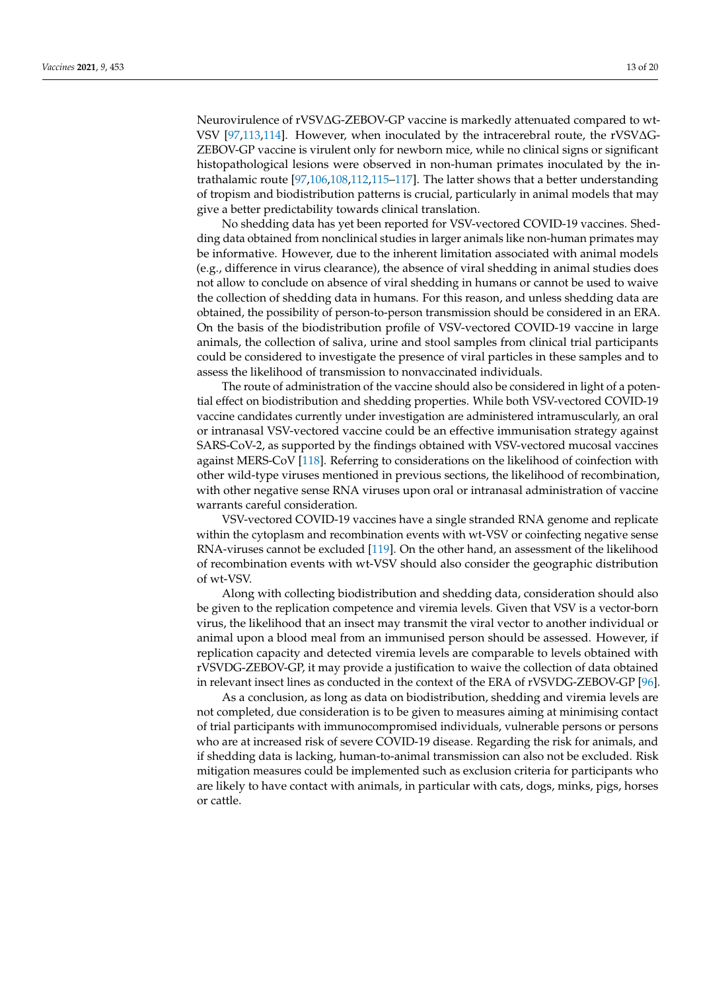Neurovirulence of rVSV∆G-ZEBOV-GP vaccine is markedly attenuated compared to wt-VSV [\[97](#page-18-19)[,113](#page-19-9)[,114\]](#page-19-10). However, when inoculated by the intracerebral route, the rVSV∆G-ZEBOV-GP vaccine is virulent only for newborn mice, while no clinical signs or significant histopathological lesions were observed in non-human primates inoculated by the intrathalamic route [\[97,](#page-18-19)[106,](#page-19-7)[108,](#page-19-3)[112,](#page-19-8)[115–](#page-19-11)[117\]](#page-19-12). The latter shows that a better understanding of tropism and biodistribution patterns is crucial, particularly in animal models that may give a better predictability towards clinical translation.

No shedding data has yet been reported for VSV-vectored COVID-19 vaccines. Shedding data obtained from nonclinical studies in larger animals like non-human primates may be informative. However, due to the inherent limitation associated with animal models (e.g., difference in virus clearance), the absence of viral shedding in animal studies does not allow to conclude on absence of viral shedding in humans or cannot be used to waive the collection of shedding data in humans. For this reason, and unless shedding data are obtained, the possibility of person-to-person transmission should be considered in an ERA. On the basis of the biodistribution profile of VSV-vectored COVID-19 vaccine in large animals, the collection of saliva, urine and stool samples from clinical trial participants could be considered to investigate the presence of viral particles in these samples and to assess the likelihood of transmission to nonvaccinated individuals.

The route of administration of the vaccine should also be considered in light of a potential effect on biodistribution and shedding properties. While both VSV-vectored COVID-19 vaccine candidates currently under investigation are administered intramuscularly, an oral or intranasal VSV-vectored vaccine could be an effective immunisation strategy against SARS-CoV-2, as supported by the findings obtained with VSV-vectored mucosal vaccines against MERS-CoV [\[118\]](#page-19-13). Referring to considerations on the likelihood of coinfection with other wild-type viruses mentioned in previous sections, the likelihood of recombination, with other negative sense RNA viruses upon oral or intranasal administration of vaccine warrants careful consideration.

VSV-vectored COVID-19 vaccines have a single stranded RNA genome and replicate within the cytoplasm and recombination events with wt-VSV or coinfecting negative sense RNA-viruses cannot be excluded [\[119\]](#page-19-14). On the other hand, an assessment of the likelihood of recombination events with wt-VSV should also consider the geographic distribution of wt-VSV.

Along with collecting biodistribution and shedding data, consideration should also be given to the replication competence and viremia levels. Given that VSV is a vector-born virus, the likelihood that an insect may transmit the viral vector to another individual or animal upon a blood meal from an immunised person should be assessed. However, if replication capacity and detected viremia levels are comparable to levels obtained with rVSVDG-ZEBOV-GP, it may provide a justification to waive the collection of data obtained in relevant insect lines as conducted in the context of the ERA of rVSVDG-ZEBOV-GP [\[96\]](#page-18-18).

As a conclusion, as long as data on biodistribution, shedding and viremia levels are not completed, due consideration is to be given to measures aiming at minimising contact of trial participants with immunocompromised individuals, vulnerable persons or persons who are at increased risk of severe COVID-19 disease. Regarding the risk for animals, and if shedding data is lacking, human-to-animal transmission can also not be excluded. Risk mitigation measures could be implemented such as exclusion criteria for participants who are likely to have contact with animals, in particular with cats, dogs, minks, pigs, horses or cattle.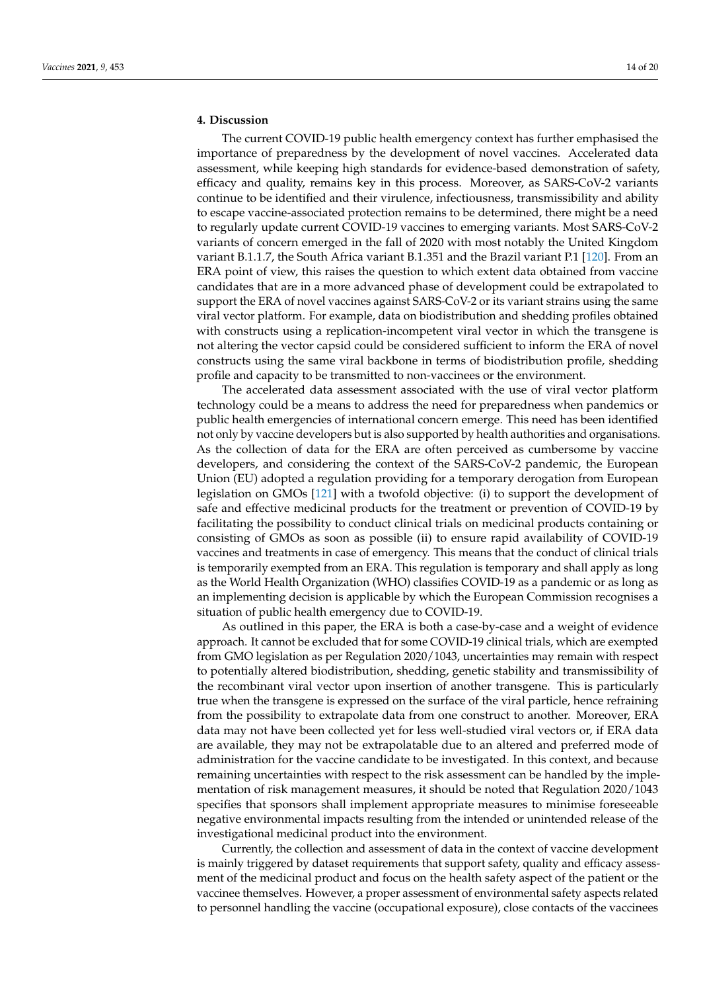# **4. Discussion**

The current COVID-19 public health emergency context has further emphasised the importance of preparedness by the development of novel vaccines. Accelerated data assessment, while keeping high standards for evidence-based demonstration of safety, efficacy and quality, remains key in this process. Moreover, as SARS-CoV-2 variants continue to be identified and their virulence, infectiousness, transmissibility and ability to escape vaccine-associated protection remains to be determined, there might be a need to regularly update current COVID-19 vaccines to emerging variants. Most SARS-CoV-2 variants of concern emerged in the fall of 2020 with most notably the United Kingdom variant B.1.1.7, the South Africa variant B.1.351 and the Brazil variant P.1 [\[120\]](#page-19-15). From an ERA point of view, this raises the question to which extent data obtained from vaccine candidates that are in a more advanced phase of development could be extrapolated to support the ERA of novel vaccines against SARS-CoV-2 or its variant strains using the same viral vector platform. For example, data on biodistribution and shedding profiles obtained with constructs using a replication-incompetent viral vector in which the transgene is not altering the vector capsid could be considered sufficient to inform the ERA of novel constructs using the same viral backbone in terms of biodistribution profile, shedding profile and capacity to be transmitted to non-vaccinees or the environment.

The accelerated data assessment associated with the use of viral vector platform technology could be a means to address the need for preparedness when pandemics or public health emergencies of international concern emerge. This need has been identified not only by vaccine developers but is also supported by health authorities and organisations. As the collection of data for the ERA are often perceived as cumbersome by vaccine developers, and considering the context of the SARS-CoV-2 pandemic, the European Union (EU) adopted a regulation providing for a temporary derogation from European legislation on GMOs [\[121\]](#page-19-16) with a twofold objective: (i) to support the development of safe and effective medicinal products for the treatment or prevention of COVID-19 by facilitating the possibility to conduct clinical trials on medicinal products containing or consisting of GMOs as soon as possible (ii) to ensure rapid availability of COVID-19 vaccines and treatments in case of emergency. This means that the conduct of clinical trials is temporarily exempted from an ERA. This regulation is temporary and shall apply as long as the World Health Organization (WHO) classifies COVID-19 as a pandemic or as long as an implementing decision is applicable by which the European Commission recognises a situation of public health emergency due to COVID-19.

As outlined in this paper, the ERA is both a case-by-case and a weight of evidence approach. It cannot be excluded that for some COVID-19 clinical trials, which are exempted from GMO legislation as per Regulation 2020/1043, uncertainties may remain with respect to potentially altered biodistribution, shedding, genetic stability and transmissibility of the recombinant viral vector upon insertion of another transgene. This is particularly true when the transgene is expressed on the surface of the viral particle, hence refraining from the possibility to extrapolate data from one construct to another. Moreover, ERA data may not have been collected yet for less well-studied viral vectors or, if ERA data are available, they may not be extrapolatable due to an altered and preferred mode of administration for the vaccine candidate to be investigated. In this context, and because remaining uncertainties with respect to the risk assessment can be handled by the implementation of risk management measures, it should be noted that Regulation 2020/1043 specifies that sponsors shall implement appropriate measures to minimise foreseeable negative environmental impacts resulting from the intended or unintended release of the investigational medicinal product into the environment.

Currently, the collection and assessment of data in the context of vaccine development is mainly triggered by dataset requirements that support safety, quality and efficacy assessment of the medicinal product and focus on the health safety aspect of the patient or the vaccinee themselves. However, a proper assessment of environmental safety aspects related to personnel handling the vaccine (occupational exposure), close contacts of the vaccinees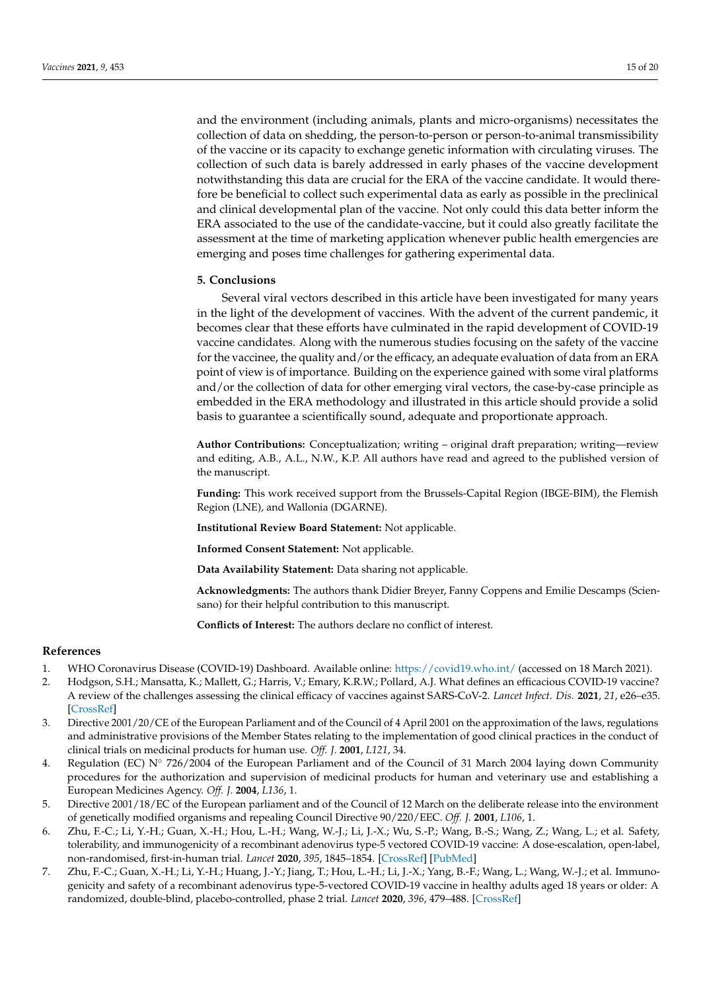and the environment (including animals, plants and micro-organisms) necessitates the collection of data on shedding, the person-to-person or person-to-animal transmissibility of the vaccine or its capacity to exchange genetic information with circulating viruses. The collection of such data is barely addressed in early phases of the vaccine development notwithstanding this data are crucial for the ERA of the vaccine candidate. It would therefore be beneficial to collect such experimental data as early as possible in the preclinical and clinical developmental plan of the vaccine. Not only could this data better inform the ERA associated to the use of the candidate-vaccine, but it could also greatly facilitate the assessment at the time of marketing application whenever public health emergencies are emerging and poses time challenges for gathering experimental data.

## **5. Conclusions**

Several viral vectors described in this article have been investigated for many years in the light of the development of vaccines. With the advent of the current pandemic, it becomes clear that these efforts have culminated in the rapid development of COVID-19 vaccine candidates. Along with the numerous studies focusing on the safety of the vaccine for the vaccinee, the quality and/or the efficacy, an adequate evaluation of data from an ERA point of view is of importance. Building on the experience gained with some viral platforms and/or the collection of data for other emerging viral vectors, the case-by-case principle as embedded in the ERA methodology and illustrated in this article should provide a solid basis to guarantee a scientifically sound, adequate and proportionate approach.

**Author Contributions:** Conceptualization; writing – original draft preparation; writing—review and editing, A.B., A.L., N.W., K.P. All authors have read and agreed to the published version of the manuscript.

**Funding:** This work received support from the Brussels-Capital Region (IBGE-BIM), the Flemish Region (LNE), and Wallonia (DGARNE).

**Institutional Review Board Statement:** Not applicable.

**Informed Consent Statement:** Not applicable.

**Data Availability Statement:** Data sharing not applicable.

**Acknowledgments:** The authors thank Didier Breyer, Fanny Coppens and Emilie Descamps (Sciensano) for their helpful contribution to this manuscript.

**Conflicts of Interest:** The authors declare no conflict of interest.

# **References**

- <span id="page-14-0"></span>1. WHO Coronavirus Disease (COVID-19) Dashboard. Available online: <https://covid19.who.int/> (accessed on 18 March 2021).
- <span id="page-14-1"></span>2. Hodgson, S.H.; Mansatta, K.; Mallett, G.; Harris, V.; Emary, K.R.W.; Pollard, A.J. What defines an efficacious COVID-19 vaccine? A review of the challenges assessing the clinical efficacy of vaccines against SARS-CoV-2. *Lancet Infect. Dis.* **2021**, *21*, e26–e35. [\[CrossRef\]](http://doi.org/10.1016/S1473-3099(20)30773-8)
- <span id="page-14-2"></span>3. Directive 2001/20/CE of the European Parliament and of the Council of 4 April 2001 on the approximation of the laws, regulations and administrative provisions of the Member States relating to the implementation of good clinical practices in the conduct of clinical trials on medicinal products for human use. *Off. J.* **2001**, *L121*, 34.
- <span id="page-14-3"></span>4. Regulation (EC) N◦ 726/2004 of the European Parliament and of the Council of 31 March 2004 laying down Community procedures for the authorization and supervision of medicinal products for human and veterinary use and establishing a European Medicines Agency. *Off. J.* **2004**, *L136*, 1.
- <span id="page-14-4"></span>5. Directive 2001/18/EC of the European parliament and of the Council of 12 March on the deliberate release into the environment of genetically modified organisms and repealing Council Directive 90/220/EEC. *Off. J.* **2001**, *L106*, 1.
- <span id="page-14-5"></span>6. Zhu, F.-C.; Li, Y.-H.; Guan, X.-H.; Hou, L.-H.; Wang, W.-J.; Li, J.-X.; Wu, S.-P.; Wang, B.-S.; Wang, Z.; Wang, L.; et al. Safety, tolerability, and immunogenicity of a recombinant adenovirus type-5 vectored COVID-19 vaccine: A dose-escalation, open-label, non-randomised, first-in-human trial. *Lancet* **2020**, *395*, 1845–1854. [\[CrossRef\]](http://doi.org/10.1016/S0140-6736(20)31208-3) [\[PubMed\]](http://www.ncbi.nlm.nih.gov/pubmed/32450106)
- <span id="page-14-6"></span>7. Zhu, F.-C.; Guan, X.-H.; Li, Y.-H.; Huang, J.-Y.; Jiang, T.; Hou, L.-H.; Li, J.-X.; Yang, B.-F.; Wang, L.; Wang, W.-J.; et al. Immunogenicity and safety of a recombinant adenovirus type-5-vectored COVID-19 vaccine in healthy adults aged 18 years or older: A randomized, double-blind, placebo-controlled, phase 2 trial. *Lancet* **2020**, *396*, 479–488. [\[CrossRef\]](http://doi.org/10.1016/S0140-6736(20)31605-6)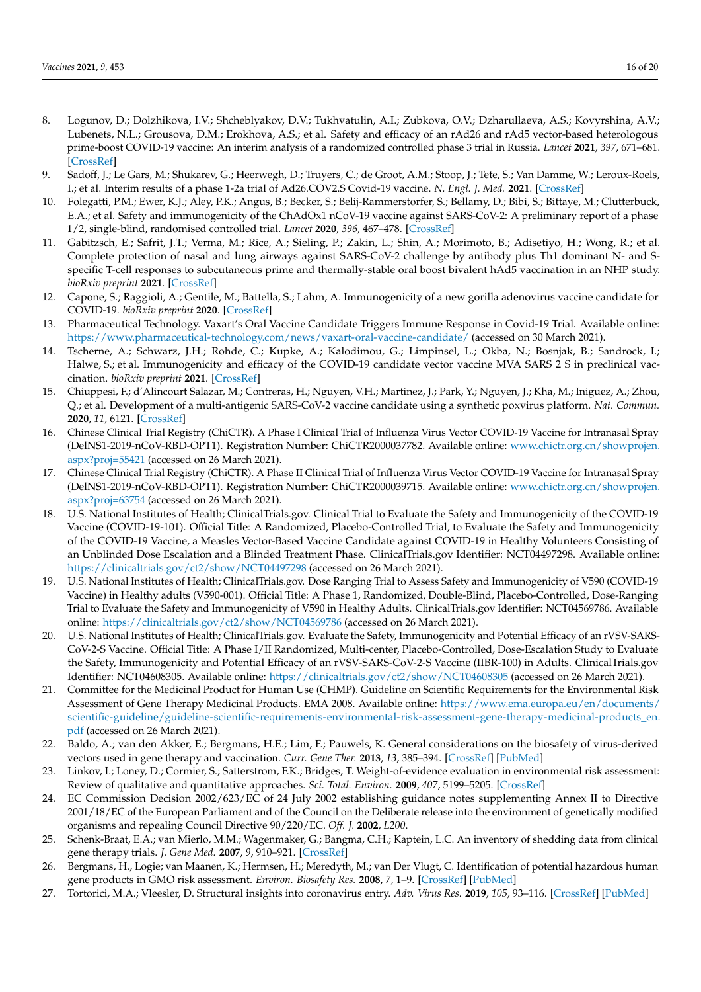- <span id="page-15-0"></span>8. Logunov, D.; Dolzhikova, I.V.; Shcheblyakov, D.V.; Tukhvatulin, A.I.; Zubkova, O.V.; Dzharullaeva, A.S.; Kovyrshina, A.V.; Lubenets, N.L.; Grousova, D.M.; Erokhova, A.S.; et al. Safety and efficacy of an rAd26 and rAd5 vector-based heterologous prime-boost COVID-19 vaccine: An interim analysis of a randomized controlled phase 3 trial in Russia. *Lancet* **2021**, *397*, 671–681. [\[CrossRef\]](http://doi.org/10.1016/S0140-6736(21)00234-8)
- <span id="page-15-1"></span>9. Sadoff, J.; Le Gars, M.; Shukarev, G.; Heerwegh, D.; Truyers, C.; de Groot, A.M.; Stoop, J.; Tete, S.; Van Damme, W.; Leroux-Roels, I.; et al. Interim results of a phase 1-2a trial of Ad26.COV2.S Covid-19 vaccine. *N. Engl. J. Med.* **2021**. [\[CrossRef\]](http://doi.org/10.1056/NEJMoa2034201)
- <span id="page-15-2"></span>10. Folegatti, P.M.; Ewer, K.J.; Aley, P.K.; Angus, B.; Becker, S.; Belij-Rammerstorfer, S.; Bellamy, D.; Bibi, S.; Bittaye, M.; Clutterbuck, E.A.; et al. Safety and immunogenicity of the ChAdOx1 nCoV-19 vaccine against SARS-CoV-2: A preliminary report of a phase 1/2, single-blind, randomised controlled trial. *Lancet* **2020**, *396*, 467–478. [\[CrossRef\]](http://doi.org/10.1016/S0140-6736(20)31604-4)
- <span id="page-15-3"></span>11. Gabitzsch, E.; Safrit, J.T.; Verma, M.; Rice, A.; Sieling, P.; Zakin, L.; Shin, A.; Morimoto, B.; Adisetiyo, H.; Wong, R.; et al. Complete protection of nasal and lung airways against SARS-CoV-2 challenge by antibody plus Th1 dominant N- and Sspecific T-cell responses to subcutaneous prime and thermally-stable oral boost bivalent hAd5 vaccination in an NHP study. *bioRxiv preprint* **2021**. [\[CrossRef\]](http://doi.org/10.1101/2020.12.08.416297)
- <span id="page-15-4"></span>12. Capone, S.; Raggioli, A.; Gentile, M.; Battella, S.; Lahm, A. Immunogenicity of a new gorilla adenovirus vaccine candidate for COVID-19. *bioRxiv preprint* **2020**. [\[CrossRef\]](http://doi.org/10.1101/2020.10.22.349951)
- <span id="page-15-5"></span>13. Pharmaceutical Technology. Vaxart's Oral Vaccine Candidate Triggers Immune Response in Covid-19 Trial. Available online: <https://www.pharmaceutical-technology.com/news/vaxart-oral-vaccine-candidate/> (accessed on 30 March 2021).
- <span id="page-15-6"></span>14. Tscherne, A.; Schwarz, J.H.; Rohde, C.; Kupke, A.; Kalodimou, G.; Limpinsel, L.; Okba, N.; Bosnjak, B.; Sandrock, I.; Halwe, S.; et al. Immunogenicity and efficacy of the COVID-19 candidate vector vaccine MVA SARS 2 S in preclinical vaccination. *bioRxiv preprint* **2021**. [\[CrossRef\]](http://doi.org/10.1101/2021.01.09.426032)
- <span id="page-15-7"></span>15. Chiuppesi, F.; d'Alincourt Salazar, M.; Contreras, H.; Nguyen, V.H.; Martinez, J.; Park, Y.; Nguyen, J.; Kha, M.; Iniguez, A.; Zhou, Q.; et al. Development of a multi-antigenic SARS-CoV-2 vaccine candidate using a synthetic poxvirus platform. *Nat. Commun.* **2020**, *11*, 6121. [\[CrossRef\]](http://doi.org/10.1038/s41467-020-19819-1)
- <span id="page-15-8"></span>16. Chinese Clinical Trial Registry (ChiCTR). A Phase I Clinical Trial of Influenza Virus Vector COVID-19 Vaccine for Intranasal Spray (DelNS1-2019-nCoV-RBD-OPT1). Registration Number: ChiCTR2000037782. Available online: [www.chictr.org.cn/showprojen.](www.chictr.org.cn/showprojen.aspx?proj=55421) [aspx?proj=55421](www.chictr.org.cn/showprojen.aspx?proj=55421) (accessed on 26 March 2021).
- <span id="page-15-9"></span>17. Chinese Clinical Trial Registry (ChiCTR). A Phase II Clinical Trial of Influenza Virus Vector COVID-19 Vaccine for Intranasal Spray (DelNS1-2019-nCoV-RBD-OPT1). Registration Number: ChiCTR2000039715. Available online: [www.chictr.org.cn/showprojen.](www.chictr.org.cn/showprojen.aspx?proj=63754) [aspx?proj=63754](www.chictr.org.cn/showprojen.aspx?proj=63754) (accessed on 26 March 2021).
- <span id="page-15-10"></span>18. U.S. National Institutes of Health; ClinicalTrials.gov. Clinical Trial to Evaluate the Safety and Immunogenicity of the COVID-19 Vaccine (COVID-19-101). Official Title: A Randomized, Placebo-Controlled Trial, to Evaluate the Safety and Immunogenicity of the COVID-19 Vaccine, a Measles Vector-Based Vaccine Candidate against COVID-19 in Healthy Volunteers Consisting of an Unblinded Dose Escalation and a Blinded Treatment Phase. ClinicalTrials.gov Identifier: NCT04497298. Available online: <https://clinicaltrials.gov/ct2/show/NCT04497298> (accessed on 26 March 2021).
- <span id="page-15-11"></span>19. U.S. National Institutes of Health; ClinicalTrials.gov. Dose Ranging Trial to Assess Safety and Immunogenicity of V590 (COVID-19 Vaccine) in Healthy adults (V590-001). Official Title: A Phase 1, Randomized, Double-Blind, Placebo-Controlled, Dose-Ranging Trial to Evaluate the Safety and Immunogenicity of V590 in Healthy Adults. ClinicalTrials.gov Identifier: NCT04569786. Available online: <https://clinicaltrials.gov/ct2/show/NCT04569786> (accessed on 26 March 2021).
- <span id="page-15-12"></span>20. U.S. National Institutes of Health; ClinicalTrials.gov. Evaluate the Safety, Immunogenicity and Potential Efficacy of an rVSV-SARS-CoV-2-S Vaccine. Official Title: A Phase I/II Randomized, Multi-center, Placebo-Controlled, Dose-Escalation Study to Evaluate the Safety, Immunogenicity and Potential Efficacy of an rVSV-SARS-CoV-2-S Vaccine (IIBR-100) in Adults. ClinicalTrials.gov Identifier: NCT04608305. Available online: <https://clinicaltrials.gov/ct2/show/NCT04608305> (accessed on 26 March 2021).
- <span id="page-15-13"></span>21. Committee for the Medicinal Product for Human Use (CHMP). Guideline on Scientific Requirements for the Environmental Risk Assessment of Gene Therapy Medicinal Products. EMA 2008. Available online: [https://www.ema.europa.eu/en/documents/](https://www.ema.europa.eu/en/documents/scientific-guideline/guideline-scientific-requirements-environmental-risk-assessment-gene-therapy-medicinal-products_en.pdf) [scientific-guideline/guideline-scientific-requirements-environmental-risk-assessment-gene-therapy-medicinal-products\\_en.](https://www.ema.europa.eu/en/documents/scientific-guideline/guideline-scientific-requirements-environmental-risk-assessment-gene-therapy-medicinal-products_en.pdf) [pdf](https://www.ema.europa.eu/en/documents/scientific-guideline/guideline-scientific-requirements-environmental-risk-assessment-gene-therapy-medicinal-products_en.pdf) (accessed on 26 March 2021).
- <span id="page-15-14"></span>22. Baldo, A.; van den Akker, E.; Bergmans, H.E.; Lim, F.; Pauwels, K. General considerations on the biosafety of virus-derived vectors used in gene therapy and vaccination. *Curr. Gene Ther.* **2013**, *13*, 385–394. [\[CrossRef\]](http://doi.org/10.2174/1566523211313666005) [\[PubMed\]](http://www.ncbi.nlm.nih.gov/pubmed/24195604)
- <span id="page-15-15"></span>23. Linkov, I.; Loney, D.; Cormier, S.; Satterstrom, F.K.; Bridges, T. Weight-of-evidence evaluation in environmental risk assessment: Review of qualitative and quantitative approaches. *Sci. Total. Environ.* **2009**, *407*, 5199–5205. [\[CrossRef\]](http://doi.org/10.1016/j.scitotenv.2009.05.004)
- <span id="page-15-16"></span>24. EC Commission Decision 2002/623/EC of 24 July 2002 establishing guidance notes supplementing Annex II to Directive 2001/18/EC of the European Parliament and of the Council on the Deliberate release into the environment of genetically modified organisms and repealing Council Directive 90/220/EC. *Off. J.* **2002**, *L200*.
- <span id="page-15-17"></span>25. Schenk-Braat, E.A.; van Mierlo, M.M.; Wagenmaker, G.; Bangma, C.H.; Kaptein, L.C. An inventory of shedding data from clinical gene therapy trials. *J. Gene Med.* **2007**, *9*, 910–921. [\[CrossRef\]](http://doi.org/10.1002/jgm.1096)
- <span id="page-15-18"></span>26. Bergmans, H., Logie; van Maanen, K.; Hermsen, H.; Meredyth, M.; van Der Vlugt, C. Identification of potential hazardous human gene products in GMO risk assessment. *Environ. Biosafety Res.* **2008**, *7*, 1–9. [\[CrossRef\]](http://doi.org/10.1051/ebr:2008001) [\[PubMed\]](http://www.ncbi.nlm.nih.gov/pubmed/18384725)
- <span id="page-15-19"></span>27. Tortorici, M.A.; Vleesler, D. Structural insights into coronavirus entry. *Adv. Virus Res.* **2019**, *105*, 93–116. [\[CrossRef\]](http://doi.org/10.1016/bs.aivir.2019.08.002) [\[PubMed\]](http://www.ncbi.nlm.nih.gov/pubmed/31522710)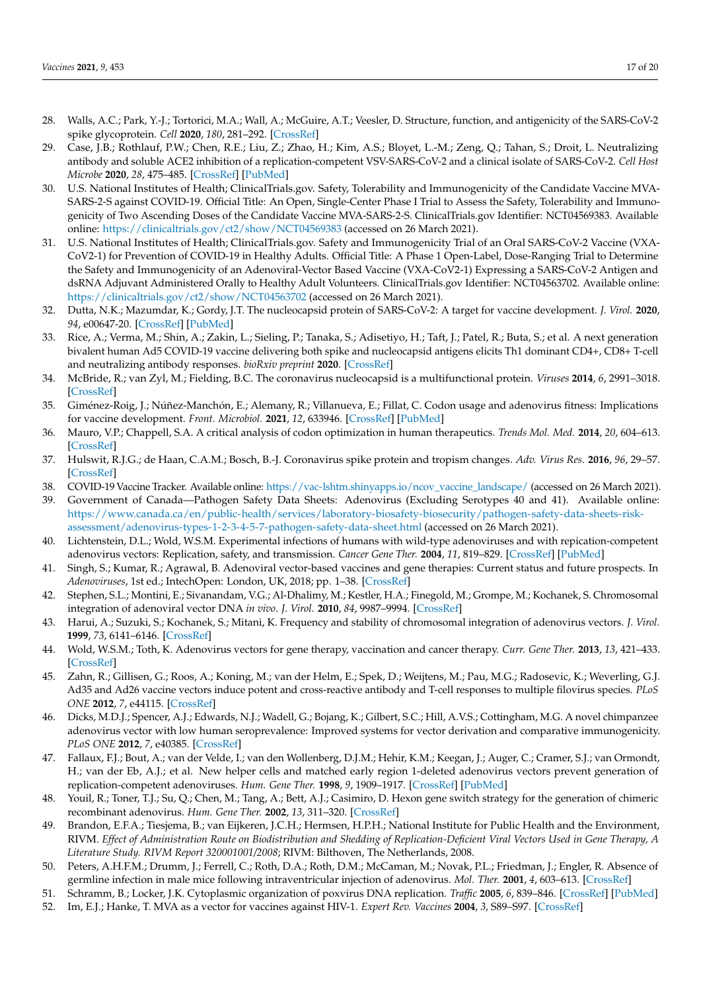- <span id="page-16-0"></span>28. Walls, A.C.; Park, Y.-J.; Tortorici, M.A.; Wall, A.; McGuire, A.T.; Veesler, D. Structure, function, and antigenicity of the SARS-CoV-2 spike glycoprotein. *Cell* **2020**, *180*, 281–292. [\[CrossRef\]](http://doi.org/10.1016/j.cell.2020.02.058)
- <span id="page-16-1"></span>29. Case, J.B.; Rothlauf, P.W.; Chen, R.E.; Liu, Z.; Zhao, H.; Kim, A.S.; Bloyet, L.-M.; Zeng, Q.; Tahan, S.; Droit, L. Neutralizing antibody and soluble ACE2 inhibition of a replication-competent VSV-SARS-CoV-2 and a clinical isolate of SARS-CoV-2. *Cell Host Microbe* **2020**, *28*, 475–485. [\[CrossRef\]](http://doi.org/10.1016/j.chom.2020.06.021) [\[PubMed\]](http://www.ncbi.nlm.nih.gov/pubmed/32735849)
- <span id="page-16-2"></span>30. U.S. National Institutes of Health; ClinicalTrials.gov. Safety, Tolerability and Immunogenicity of the Candidate Vaccine MVA-SARS-2-S against COVID-19. Official Title: An Open, Single-Center Phase I Trial to Assess the Safety, Tolerability and Immunogenicity of Two Ascending Doses of the Candidate Vaccine MVA-SARS-2-S. ClinicalTrials.gov Identifier: NCT04569383. Available online: <https://clinicaltrials.gov/ct2/show/NCT04569383> (accessed on 26 March 2021).
- <span id="page-16-3"></span>31. U.S. National Institutes of Health; ClinicalTrials.gov. Safety and Immunogenicity Trial of an Oral SARS-CoV-2 Vaccine (VXA-CoV2-1) for Prevention of COVID-19 in Healthy Adults. Official Title: A Phase 1 Open-Label, Dose-Ranging Trial to Determine the Safety and Immunogenicity of an Adenoviral-Vector Based Vaccine (VXA-CoV2-1) Expressing a SARS-CoV-2 Antigen and dsRNA Adjuvant Administered Orally to Healthy Adult Volunteers. ClinicalTrials.gov Identifier: NCT04563702. Available online: <https://clinicaltrials.gov/ct2/show/NCT04563702> (accessed on 26 March 2021).
- <span id="page-16-4"></span>32. Dutta, N.K.; Mazumdar, K.; Gordy, J.T. The nucleocapsid protein of SARS-CoV-2: A target for vaccine development. *J. Virol.* **2020**, *94*, e00647-20. [\[CrossRef\]](http://doi.org/10.1128/JVI.00647-20) [\[PubMed\]](http://www.ncbi.nlm.nih.gov/pubmed/32546606)
- <span id="page-16-5"></span>33. Rice, A.; Verma, M.; Shin, A.; Zakin, L.; Sieling, P.; Tanaka, S.; Adisetiyo, H.; Taft, J.; Patel, R.; Buta, S.; et al. A next generation bivalent human Ad5 COVID-19 vaccine delivering both spike and nucleocapsid antigens elicits Th1 dominant CD4+, CD8+ T-cell and neutralizing antibody responses. *bioRxiv preprint* **2020**. [\[CrossRef\]](http://doi.org/10.1101/2020.07.29.227595)
- <span id="page-16-6"></span>34. McBride, R.; van Zyl, M.; Fielding, B.C. The coronavirus nucleocapsid is a multifunctional protein. *Viruses* **2014**, *6*, 2991–3018. [\[CrossRef\]](http://doi.org/10.3390/v6082991)
- <span id="page-16-7"></span>35. Giménez-Roig, J.; Núñez-Manchón, E.; Alemany, R.; Villanueva, E.; Fillat, C. Codon usage and adenovirus fitness: Implications for vaccine development. *Front. Microbiol.* **2021**, *12*, 633946. [\[CrossRef\]](http://doi.org/10.3389/fmicb.2021.633946) [\[PubMed\]](http://www.ncbi.nlm.nih.gov/pubmed/33643266)
- <span id="page-16-8"></span>36. Mauro, V.P.; Chappell, S.A. A critical analysis of codon optimization in human therapeutics. *Trends Mol. Med.* **2014**, *20*, 604–613. [\[CrossRef\]](http://doi.org/10.1016/j.molmed.2014.09.003)
- <span id="page-16-9"></span>37. Hulswit, R.J.G.; de Haan, C.A.M.; Bosch, B.-J. Coronavirus spike protein and tropism changes. *Adv. Virus Res.* **2016**, *96*, 29–57. [\[CrossRef\]](http://doi.org/10.1016/bs.aivir.2016.08.004)
- <span id="page-16-10"></span>38. COVID-19 Vaccine Tracker. Available online: [https://vac-lshtm.shinyapps.io/ncov\\_vaccine\\_landscape/](https://vac-lshtm.shinyapps.io/ncov_vaccine_landscape/) (accessed on 26 March 2021).
- <span id="page-16-11"></span>39. Government of Canada—Pathogen Safety Data Sheets: Adenovirus (Excluding Serotypes 40 and 41). Available online: [https://www.canada.ca/en/public-health/services/laboratory-biosafety-biosecurity/pathogen-safety-data-sheets-risk](https://www.canada.ca/en/public-health/services/laboratory-biosafety-biosecurity/pathogen-safety-data-sheets-risk-assessment/adenovirus-types-1-2-3-4-5-7-pathogen-safety-data-sheet.html)[assessment/adenovirus-types-1-2-3-4-5-7-pathogen-safety-data-sheet.html](https://www.canada.ca/en/public-health/services/laboratory-biosafety-biosecurity/pathogen-safety-data-sheets-risk-assessment/adenovirus-types-1-2-3-4-5-7-pathogen-safety-data-sheet.html) (accessed on 26 March 2021).
- <span id="page-16-12"></span>40. Lichtenstein, D.L.; Wold, W.S.M. Experimental infections of humans with wild-type adenoviruses and with repication-competent adenovirus vectors: Replication, safety, and transmission. *Cancer Gene Ther.* **2004**, *11*, 819–829. [\[CrossRef\]](http://doi.org/10.1038/sj.cgt.7700765) [\[PubMed\]](http://www.ncbi.nlm.nih.gov/pubmed/15359291)
- <span id="page-16-13"></span>41. Singh, S.; Kumar, R.; Agrawal, B. Adenoviral vector-based vaccines and gene therapies: Current status and future prospects. In *Adenoviruses*, 1st ed.; IntechOpen: London, UK, 2018; pp. 1–38. [\[CrossRef\]](http://doi.org/10.5772/intechopen.79697)
- <span id="page-16-14"></span>42. Stephen, S.L.; Montini, E.; Sivanandam, V.G.; Al-Dhalimy, M.; Kestler, H.A.; Finegold, M.; Grompe, M.; Kochanek, S. Chromosomal integration of adenoviral vector DNA *in vivo*. *J. Virol.* **2010**, *84*, 9987–9994. [\[CrossRef\]](http://doi.org/10.1128/JVI.00751-10)
- <span id="page-16-15"></span>43. Harui, A.; Suzuki, S.; Kochanek, S.; Mitani, K. Frequency and stability of chromosomal integration of adenovirus vectors. *J. Virol.* **1999**, *73*, 6141–6146. [\[CrossRef\]](http://doi.org/10.1128/JVI.73.7.6141-6146.1999)
- <span id="page-16-16"></span>44. Wold, W.S.M.; Toth, K. Adenovirus vectors for gene therapy, vaccination and cancer therapy. *Curr. Gene Ther.* **2013**, *13*, 421–433. [\[CrossRef\]](http://doi.org/10.2174/1566523213666131125095046)
- <span id="page-16-17"></span>45. Zahn, R.; Gillisen, G.; Roos, A.; Koning, M.; van der Helm, E.; Spek, D.; Weijtens, M.; Pau, M.G.; Radosevic, K.; Weverling, G.J. Ad35 and Ad26 vaccine vectors induce potent and cross-reactive antibody and T-cell responses to multiple filovirus species. *PLoS ONE* **2012**, *7*, e44115. [\[CrossRef\]](http://doi.org/10.1371/journal.pone.0044115)
- <span id="page-16-18"></span>46. Dicks, M.D.J.; Spencer, A.J.; Edwards, N.J.; Wadell, G.; Bojang, K.; Gilbert, S.C.; Hill, A.V.S.; Cottingham, M.G. A novel chimpanzee adenovirus vector with low human seroprevalence: Improved systems for vector derivation and comparative immunogenicity. *PLoS ONE* **2012**, *7*, e40385. [\[CrossRef\]](http://doi.org/10.1371/journal.pone.0040385)
- <span id="page-16-19"></span>47. Fallaux, F.J.; Bout, A.; van der Velde, I.; van den Wollenberg, D.J.M.; Hehir, K.M.; Keegan, J.; Auger, C.; Cramer, S.J.; van Ormondt, H.; van der Eb, A.J.; et al. New helper cells and matched early region 1-deleted adenovirus vectors prevent generation of replication-competent adenoviruses. *Hum. Gene Ther.* **1998**, *9*, 1909–1917. [\[CrossRef\]](http://doi.org/10.1089/hum.1998.9.13-1909) [\[PubMed\]](http://www.ncbi.nlm.nih.gov/pubmed/9741429)
- <span id="page-16-20"></span>48. Youil, R.; Toner, T.J.; Su, Q.; Chen, M.; Tang, A.; Bett, A.J.; Casimiro, D. Hexon gene switch strategy for the generation of chimeric recombinant adenovirus. *Hum. Gene Ther.* **2002**, *13*, 311–320. [\[CrossRef\]](http://doi.org/10.1089/10430340252769824)
- <span id="page-16-21"></span>49. Brandon, E.F.A.; Tiesjema, B.; van Eijkeren, J.C.H.; Hermsen, H.P.H.; National Institute for Public Health and the Environment, RIVM. *Effect of Administration Route on Biodistribution and Shedding of Replication-Deficient Viral Vectors Used in Gene Therapy, A Literature Study. RIVM Report 320001001/2008*; RIVM: Bilthoven, The Netherlands, 2008.
- <span id="page-16-22"></span>50. Peters, A.H.F.M.; Drumm, J.; Ferrell, C.; Roth, D.A.; Roth, D.M.; McCaman, M.; Novak, P.L.; Friedman, J.; Engler, R. Absence of germline infection in male mice following intraventricular injection of adenovirus. *Mol. Ther.* **2001**, *4*, 603–613. [\[CrossRef\]](http://doi.org/10.1006/mthe.2001.0500)
- <span id="page-16-23"></span>51. Schramm, B.; Locker, J.K. Cytoplasmic organization of poxvirus DNA replication. *Traffic* **2005**, *6*, 839–846. [\[CrossRef\]](http://doi.org/10.1111/j.1600-0854.2005.00324.x) [\[PubMed\]](http://www.ncbi.nlm.nih.gov/pubmed/16138898)
- <span id="page-16-24"></span>52. Im, E.J.; Hanke, T. MVA as a vector for vaccines against HIV-1. *Expert Rev. Vaccines* **2004**, *3*, S89–S97. [\[CrossRef\]](http://doi.org/10.1586/14760584.3.4.S89)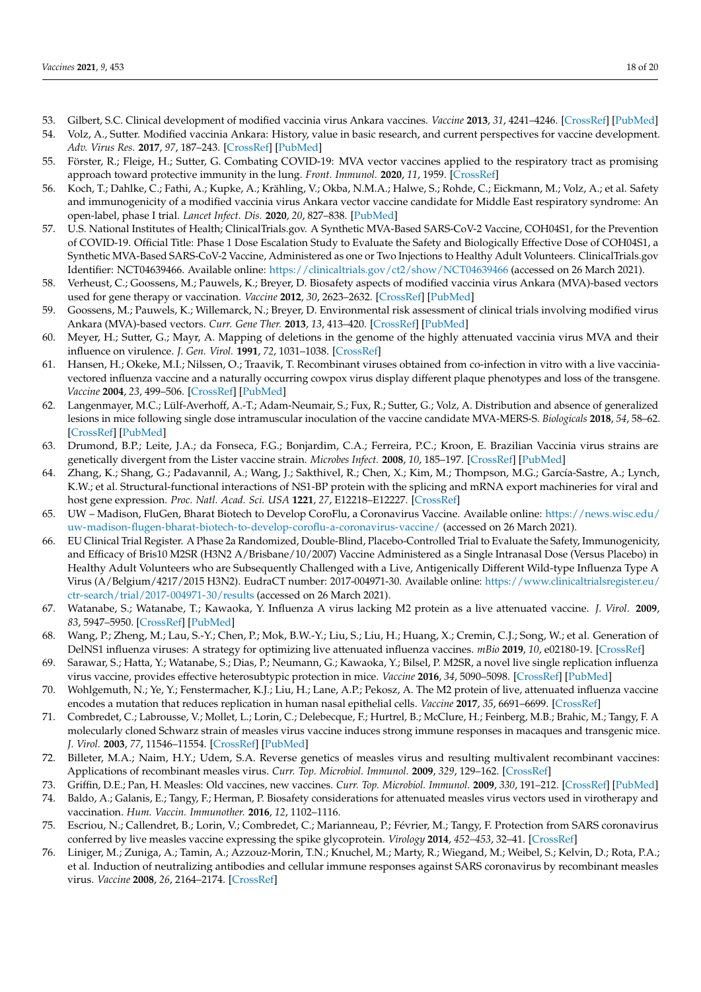- <span id="page-17-0"></span>53. Gilbert, S.C. Clinical development of modified vaccinia virus Ankara vaccines. *Vaccine* **2013**, *31*, 4241–4246. [\[CrossRef\]](http://doi.org/10.1016/j.vaccine.2013.03.020) [\[PubMed\]](http://www.ncbi.nlm.nih.gov/pubmed/23523410)
- 54. Volz, A., Sutter. Modified vaccinia Ankara: History, value in basic research, and current perspectives for vaccine development. *Adv. Virus Res.* **2017**, *97*, 187–243. [\[CrossRef\]](http://doi.org/10.1016/bs.aivir.2016.07.001) [\[PubMed\]](http://www.ncbi.nlm.nih.gov/pubmed/28057259)
- <span id="page-17-1"></span>55. Förster, R.; Fleige, H.; Sutter, G. Combating COVID-19: MVA vector vaccines applied to the respiratory tract as promising approach toward protective immunity in the lung. *Front. Immunol.* **2020**, *11*, 1959. [\[CrossRef\]](http://doi.org/10.3389/fimmu.2020.01959)
- <span id="page-17-2"></span>56. Koch, T.; Dahlke, C.; Fathi, A.; Kupke, A.; Krähling, V.; Okba, N.M.A.; Halwe, S.; Rohde, C.; Eickmann, M.; Volz, A.; et al. Safety and immunogenicity of a modified vaccinia virus Ankara vector vaccine candidate for Middle East respiratory syndrome: An open-label, phase I trial. *Lancet Infect. Dis.* **2020**, *20*, 827–838. [\[PubMed\]](http://www.ncbi.nlm.nih.gov/pubmed/32325037)
- <span id="page-17-3"></span>57. U.S. National Institutes of Health; ClinicalTrials.gov. A Synthetic MVA-Based SARS-CoV-2 Vaccine, COH04S1, for the Prevention of COVID-19. Official Title: Phase 1 Dose Escalation Study to Evaluate the Safety and Biologically Effective Dose of COH04S1, a Synthetic MVA-Based SARS-CoV-2 Vaccine, Administered as one or Two Injections to Healthy Adult Volunteers. ClinicalTrials.gov Identifier: NCT04639466. Available online: <https://clinicaltrials.gov/ct2/show/NCT04639466> (accessed on 26 March 2021).
- <span id="page-17-4"></span>58. Verheust, C.; Goossens, M.; Pauwels, K.; Breyer, D. Biosafety aspects of modified vaccinia virus Ankara (MVA)-based vectors used for gene therapy or vaccination. *Vaccine* **2012**, *30*, 2623–2632. [\[CrossRef\]](http://doi.org/10.1016/j.vaccine.2012.02.016) [\[PubMed\]](http://www.ncbi.nlm.nih.gov/pubmed/22342706)
- <span id="page-17-5"></span>59. Goossens, M.; Pauwels, K.; Willemarck, N.; Breyer, D. Environmental risk assessment of clinical trials involving modified virus Ankara (MVA)-based vectors. *Curr. Gene Ther.* **2013**, *13*, 413–420. [\[CrossRef\]](http://doi.org/10.2174/156652321306140103221941) [\[PubMed\]](http://www.ncbi.nlm.nih.gov/pubmed/24397528)
- <span id="page-17-6"></span>60. Meyer, H.; Sutter, G.; Mayr, A. Mapping of deletions in the genome of the highly attenuated vaccinia virus MVA and their influence on virulence. *J. Gen. Virol.* **1991**, *72*, 1031–1038. [\[CrossRef\]](http://doi.org/10.1099/0022-1317-72-5-1031)
- <span id="page-17-7"></span>61. Hansen, H.; Okeke, M.I.; Nilssen, O.; Traavik, T. Recombinant viruses obtained from co-infection in vitro with a live vacciniavectored influenza vaccine and a naturally occurring cowpox virus display different plaque phenotypes and loss of the transgene. *Vaccine* **2004**, *23*, 499–506. [\[CrossRef\]](http://doi.org/10.1016/j.vaccine.2004.06.032) [\[PubMed\]](http://www.ncbi.nlm.nih.gov/pubmed/15530698)
- <span id="page-17-8"></span>62. Langenmayer, M.C.; Lülf-Averhoff, A.-T.; Adam-Neumair, S.; Fux, R.; Sutter, G.; Volz, A. Distribution and absence of generalized lesions in mice following single dose intramuscular inoculation of the vaccine candidate MVA-MERS-S. *Biologicals* **2018**, *54*, 58–62. [\[CrossRef\]](http://doi.org/10.1016/j.biologicals.2018.05.004) [\[PubMed\]](http://www.ncbi.nlm.nih.gov/pubmed/29759890)
- <span id="page-17-9"></span>63. Drumond, B.P.; Leite, J.A.; da Fonseca, F.G.; Bonjardim, C.A.; Ferreira, P.C.; Kroon, E. Brazilian Vaccinia virus strains are genetically divergent from the Lister vaccine strain. *Microbes Infect.* **2008**, *10*, 185–197. [\[CrossRef\]](http://doi.org/10.1016/j.micinf.2007.11.005) [\[PubMed\]](http://www.ncbi.nlm.nih.gov/pubmed/18248758)
- <span id="page-17-10"></span>64. Zhang, K.; Shang, G.; Padavannil, A.; Wang, J.; Sakthivel, R.; Chen, X.; Kim, M.; Thompson, M.G.; García-Sastre, A.; Lynch, K.W.; et al. Structural-functional interactions of NS1-BP protein with the splicing and mRNA export machineries for viral and host gene expression. *Proc. Natl. Acad. Sci. USA* **1221**, *27*, E12218–E12227. [\[CrossRef\]](http://doi.org/10.1073/pnas.1818012115)
- <span id="page-17-11"></span>65. UW – Madison, FluGen, Bharat Biotech to Develop CoroFlu, a Coronavirus Vaccine. Available online: [https://news.wisc.edu/](https://news.wisc.edu/uw-madison-flugen-bharat-biotech-to-develop-coroflu-a-coronavirus-vaccine/) [uw-madison-flugen-bharat-biotech-to-develop-coroflu-a-coronavirus-vaccine/](https://news.wisc.edu/uw-madison-flugen-bharat-biotech-to-develop-coroflu-a-coronavirus-vaccine/) (accessed on 26 March 2021).
- <span id="page-17-12"></span>66. EU Clinical Trial Register. A Phase 2a Randomized, Double-Blind, Placebo-Controlled Trial to Evaluate the Safety, Immunogenicity, and Efficacy of Bris10 M2SR (H3N2 A/Brisbane/10/2007) Vaccine Administered as a Single Intranasal Dose (Versus Placebo) in Healthy Adult Volunteers who are Subsequently Challenged with a Live, Antigenically Different Wild-type Influenza Type A Virus (A/Belgium/4217/2015 H3N2). EudraCT number: 2017-004971-30. Available online: [https://www.clinicaltrialsregister.eu/](https://www.clinicaltrialsregister.eu/ctr-search/trial/2017-004971-30/results) [ctr-search/trial/2017-004971-30/results](https://www.clinicaltrialsregister.eu/ctr-search/trial/2017-004971-30/results) (accessed on 26 March 2021).
- <span id="page-17-13"></span>67. Watanabe, S.; Watanabe, T.; Kawaoka, Y. Influenza A virus lacking M2 protein as a live attenuated vaccine. *J. Virol.* **2009**, *83*, 5947–5950. [\[CrossRef\]](http://doi.org/10.1128/JVI.00450-09) [\[PubMed\]](http://www.ncbi.nlm.nih.gov/pubmed/19321619)
- <span id="page-17-14"></span>68. Wang, P.; Zheng, M.; Lau, S.-Y.; Chen, P.; Mok, B.W.-Y.; Liu, S.; Liu, H.; Huang, X.; Cremin, C.J.; Song, W.; et al. Generation of DelNS1 influenza viruses: A strategy for optimizing live attenuated influenza vaccines. *mBio* **2019**, *10*, e02180-19. [\[CrossRef\]](http://doi.org/10.1128/mBio.02180-19)
- <span id="page-17-15"></span>69. Sarawar, S.; Hatta, Y.; Watanabe, S.; Dias, P.; Neumann, G.; Kawaoka, Y.; Bilsel, P. M2SR, a novel live single replication influenza virus vaccine, provides effective heterosubtypic protection in mice. *Vaccine* **2016**, *34*, 5090–5098. [\[CrossRef\]](http://doi.org/10.1016/j.vaccine.2016.08.061) [\[PubMed\]](http://www.ncbi.nlm.nih.gov/pubmed/27595896)
- <span id="page-17-16"></span>70. Wohlgemuth, N.; Ye, Y.; Fenstermacher, K.J.; Liu, H.; Lane, A.P.; Pekosz, A. The M2 protein of live, attenuated influenza vaccine encodes a mutation that reduces replication in human nasal epithelial cells. *Vaccine* **2017**, *35*, 6691–6699. [\[CrossRef\]](http://doi.org/10.1016/j.vaccine.2017.10.018)
- <span id="page-17-17"></span>71. Combredet, C.; Labrousse, V.; Mollet, L.; Lorin, C.; Delebecque, F.; Hurtrel, B.; McClure, H.; Feinberg, M.B.; Brahic, M.; Tangy, F. A molecularly cloned Schwarz strain of measles virus vaccine induces strong immune responses in macaques and transgenic mice. *J. Virol.* **2003**, *77*, 11546–11554. [\[CrossRef\]](http://doi.org/10.1128/JVI.77.21.11546-11554.2003) [\[PubMed\]](http://www.ncbi.nlm.nih.gov/pubmed/14557640)
- <span id="page-17-18"></span>72. Billeter, M.A.; Naim, H.Y.; Udem, S.A. Reverse genetics of measles virus and resulting multivalent recombinant vaccines: Applications of recombinant measles virus. *Curr. Top. Microbiol. Immunol.* **2009**, *329*, 129–162. [\[CrossRef\]](http://doi.org/10.1007/978-3-540-70523-9_7)
- <span id="page-17-19"></span>73. Griffin, D.E.; Pan, H. Measles: Old vaccines, new vaccines. *Curr. Top. Microbiol. Immunol.* **2009**, *330*, 191–212. [\[CrossRef\]](http://doi.org/10.1007/978-3-540-70617-5_10) [\[PubMed\]](http://www.ncbi.nlm.nih.gov/pubmed/19203111)
- <span id="page-17-20"></span>74. Baldo, A.; Galanis, E.; Tangy, F.; Herman, P. Biosafety considerations for attenuated measles virus vectors used in virotherapy and vaccination. *Hum. Vaccin. Immunother.* **2016**, *12*, 1102–1116.
- <span id="page-17-21"></span>75. Escriou, N.; Callendret, B.; Lorin, V.; Combredet, C.; Marianneau, P.; Février, M.; Tangy, F. Protection from SARS coronavirus conferred by live measles vaccine expressing the spike glycoprotein. *Virology* **2014**, *452–453*, 32–41. [\[CrossRef\]](http://doi.org/10.1016/j.virol.2014.01.002)
- <span id="page-17-22"></span>76. Liniger, M.; Zuniga, A.; Tamin, A.; Azzouz-Morin, T.N.; Knuchel, M.; Marty, R.; Wiegand, M.; Weibel, S.; Kelvin, D.; Rota, P.A.; et al. Induction of neutralizing antibodies and cellular immune responses against SARS coronavirus by recombinant measles virus. *Vaccine* **2008**, *26*, 2164–2174. [\[CrossRef\]](http://doi.org/10.1016/j.vaccine.2008.01.057)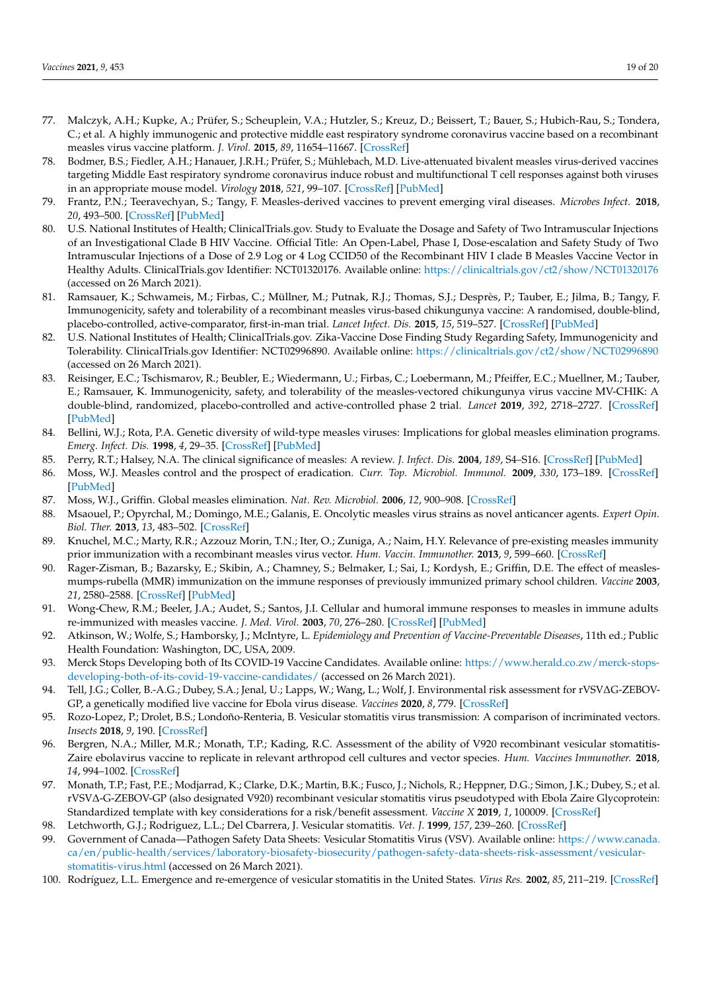- <span id="page-18-0"></span>77. Malczyk, A.H.; Kupke, A.; Prüfer, S.; Scheuplein, V.A.; Hutzler, S.; Kreuz, D.; Beissert, T.; Bauer, S.; Hubich-Rau, S.; Tondera, C.; et al. A highly immunogenic and protective middle east respiratory syndrome coronavirus vaccine based on a recombinant measles virus vaccine platform. *J. Virol.* **2015**, *89*, 11654–11667. [\[CrossRef\]](http://doi.org/10.1128/JVI.01815-15)
- <span id="page-18-1"></span>78. Bodmer, B.S.; Fiedler, A.H.; Hanauer, J.R.H.; Prüfer, S.; Mühlebach, M.D. Live-attenuated bivalent measles virus-derived vaccines targeting Middle East respiratory syndrome coronavirus induce robust and multifunctional T cell responses against both viruses in an appropriate mouse model. *Virology* **2018**, *521*, 99–107. [\[CrossRef\]](http://doi.org/10.1016/j.virol.2018.05.028) [\[PubMed\]](http://www.ncbi.nlm.nih.gov/pubmed/29902727)
- <span id="page-18-2"></span>79. Frantz, P.N.; Teeravechyan, S.; Tangy, F. Measles-derived vaccines to prevent emerging viral diseases. *Microbes Infect.* **2018**, *20*, 493–500. [\[CrossRef\]](http://doi.org/10.1016/j.micinf.2018.01.005) [\[PubMed\]](http://www.ncbi.nlm.nih.gov/pubmed/29410084)
- <span id="page-18-3"></span>80. U.S. National Institutes of Health; ClinicalTrials.gov. Study to Evaluate the Dosage and Safety of Two Intramuscular Injections of an Investigational Clade B HIV Vaccine. Official Title: An Open-Label, Phase I, Dose-escalation and Safety Study of Two Intramuscular Injections of a Dose of 2.9 Log or 4 Log CCID50 of the Recombinant HIV I clade B Measles Vaccine Vector in Healthy Adults. ClinicalTrials.gov Identifier: NCT01320176. Available online: <https://clinicaltrials.gov/ct2/show/NCT01320176> (accessed on 26 March 2021).
- <span id="page-18-4"></span>81. Ramsauer, K.; Schwameis, M.; Firbas, C.; Müllner, M.; Putnak, R.J.; Thomas, S.J.; Desprès, P.; Tauber, E.; Jilma, B.; Tangy, F. Immunogenicity, safety and tolerability of a recombinant measles virus-based chikungunya vaccine: A randomised, double-blind, placebo-controlled, active-comparator, first-in-man trial. *Lancet Infect. Dis.* **2015**, *15*, 519–527. [\[CrossRef\]](http://doi.org/10.1016/S1473-3099(15)70043-5) [\[PubMed\]](http://www.ncbi.nlm.nih.gov/pubmed/25739878)
- <span id="page-18-5"></span>82. U.S. National Institutes of Health; ClinicalTrials.gov. Zika-Vaccine Dose Finding Study Regarding Safety, Immunogenicity and Tolerability. ClinicalTrials.gov Identifier: NCT02996890. Available online: <https://clinicaltrials.gov/ct2/show/NCT02996890> (accessed on 26 March 2021).
- <span id="page-18-6"></span>83. Reisinger, E.C.; Tschismarov, R.; Beubler, E.; Wiedermann, U.; Firbas, C.; Loebermann, M.; Pfeiffer, E.C.; Muellner, M.; Tauber, E.; Ramsauer, K. Immunogenicity, safety, and tolerability of the measles-vectored chikungunya virus vaccine MV-CHIK: A double-blind, randomized, placebo-controlled and active-controlled phase 2 trial. *Lancet* **2019**, *392*, 2718–2727. [\[CrossRef\]](http://doi.org/10.1016/S0140-6736(18)32488-7) [\[PubMed\]](http://www.ncbi.nlm.nih.gov/pubmed/30409443)
- <span id="page-18-7"></span>84. Bellini, W.J.; Rota, P.A. Genetic diversity of wild-type measles viruses: Implications for global measles elimination programs. *Emerg. Infect. Dis.* **1998**, *4*, 29–35. [\[CrossRef\]](http://doi.org/10.3201/eid0401.980105) [\[PubMed\]](http://www.ncbi.nlm.nih.gov/pubmed/9452396)
- <span id="page-18-8"></span>85. Perry, R.T.; Halsey, N.A. The clinical significance of measles: A review. *J. Infect. Dis.* **2004**, *189*, S4–S16. [\[CrossRef\]](http://doi.org/10.1086/377712) [\[PubMed\]](http://www.ncbi.nlm.nih.gov/pubmed/15106083)
- <span id="page-18-9"></span>86. Moss, W.J. Measles control and the prospect of eradication. *Curr. Top. Microbiol. Immunol.* **2009**, *330*, 173–189. [\[CrossRef\]](http://doi.org/10.1007/978-3-540-70617-5_9) [\[PubMed\]](http://www.ncbi.nlm.nih.gov/pubmed/19203110)
- <span id="page-18-10"></span>87. Moss, W.J., Griffin. Global measles elimination. *Nat. Rev. Microbiol.* **2006**, *12*, 900–908. [\[CrossRef\]](http://doi.org/10.1038/nrmicro1550)
- <span id="page-18-11"></span>88. Msaouel, P.; Opyrchal, M.; Domingo, M.E.; Galanis, E. Oncolytic measles virus strains as novel anticancer agents. *Expert Opin. Biol. Ther.* **2013**, *13*, 483–502. [\[CrossRef\]](http://doi.org/10.1517/14712598.2013.749851)
- <span id="page-18-12"></span>89. Knuchel, M.C.; Marty, R.R.; Azzouz Morin, T.N.; Iter, O.; Zuniga, A.; Naim, H.Y. Relevance of pre-existing measles immunity prior immunization with a recombinant measles virus vector. *Hum. Vaccin. Immunother.* **2013**, *9*, 599–660. [\[CrossRef\]](http://doi.org/10.4161/hv.23241)
- 90. Rager-Zisman, B.; Bazarsky, E.; Skibin, A.; Chamney, S.; Belmaker, I.; Sai, I.; Kordysh, E.; Griffin, D.E. The effect of measlesmumps-rubella (MMR) immunization on the immune responses of previously immunized primary school children. *Vaccine* **2003**, *21*, 2580–2588. [\[CrossRef\]](http://doi.org/10.1016/s0264-410x(03)00053-7) [\[PubMed\]](http://www.ncbi.nlm.nih.gov/pubmed/12744894)
- <span id="page-18-13"></span>91. Wong-Chew, R.M.; Beeler, J.A.; Audet, S.; Santos, J.I. Cellular and humoral immune responses to measles in immune adults re-immunized with measles vaccine. *J. Med. Virol.* **2003**, *70*, 276–280. [\[CrossRef\]](http://doi.org/10.1002/jmv.10390) [\[PubMed\]](http://www.ncbi.nlm.nih.gov/pubmed/12696117)
- <span id="page-18-14"></span>92. Atkinson, W.; Wolfe, S.; Hamborsky, J.; McIntyre, L. *Epidemiology and Prevention of Vaccine-Preventable Diseases*, 11th ed.; Public Health Foundation: Washington, DC, USA, 2009.
- <span id="page-18-15"></span>93. Merck Stops Developing both of Its COVID-19 Vaccine Candidates. Available online: [https://www.herald.co.zw/merck-stops](https://www.herald.co.zw/merck-stops-developing-both-of-its-covid-19-vaccine-candidates/)[developing-both-of-its-covid-19-vaccine-candidates/](https://www.herald.co.zw/merck-stops-developing-both-of-its-covid-19-vaccine-candidates/) (accessed on 26 March 2021).
- <span id="page-18-16"></span>94. Tell, J.G.; Coller, B.-A.G.; Dubey, S.A.; Jenal, U.; Lapps, W.; Wang, L.; Wolf, J. Environmental risk assessment for rVSV∆G-ZEBOV-GP, a genetically modified live vaccine for Ebola virus disease. *Vaccines* **2020**, *8*, 779. [\[CrossRef\]](http://doi.org/10.3390/vaccines8040779)
- <span id="page-18-17"></span>95. Rozo-Lopez, P.; Drolet, B.S.; Londoño-Renteria, B. Vesicular stomatitis virus transmission: A comparison of incriminated vectors. *Insects* **2018**, *9*, 190. [\[CrossRef\]](http://doi.org/10.3390/insects9040190)
- <span id="page-18-18"></span>96. Bergren, N.A.; Miller, M.R.; Monath, T.P.; Kading, R.C. Assessment of the ability of V920 recombinant vesicular stomatitis-Zaire ebolavirus vaccine to replicate in relevant arthropod cell cultures and vector species. *Hum. Vaccines Immunother.* **2018**, *14*, 994–1002. [\[CrossRef\]](http://doi.org/10.1080/21645515.2017.1412898)
- <span id="page-18-19"></span>97. Monath, T.P.; Fast, P.E.; Modjarrad, K.; Clarke, D.K.; Martin, B.K.; Fusco, J.; Nichols, R.; Heppner, D.G.; Simon, J.K.; Dubey, S.; et al. rVSV∆-G-ZEBOV-GP (also designated V920) recombinant vesicular stomatitis virus pseudotyped with Ebola Zaire Glycoprotein: Standardized template with key considerations for a risk/benefit assessment. *Vaccine X* **2019**, *1*, 100009. [\[CrossRef\]](http://doi.org/10.1016/j.jvacx.2019.100009)
- <span id="page-18-20"></span>98. Letchworth, G.J.; Rodriguez, L.L.; Del Cbarrera, J. Vesicular stomatitis. *Vet. J.* **1999**, *157*, 239–260. [\[CrossRef\]](http://doi.org/10.1053/tvjl.1998.0303)
- <span id="page-18-21"></span>99. Government of Canada—Pathogen Safety Data Sheets: Vesicular Stomatitis Virus (VSV). Available online: [https://www.canada.](https://www.canada.ca/en/public-health/services/laboratory-biosafety-biosecurity/pathogen-safety-data-sheets-risk-assessment/vesicular-stomatitis-virus.html) [ca/en/public-health/services/laboratory-biosafety-biosecurity/pathogen-safety-data-sheets-risk-assessment/vesicular](https://www.canada.ca/en/public-health/services/laboratory-biosafety-biosecurity/pathogen-safety-data-sheets-risk-assessment/vesicular-stomatitis-virus.html)[stomatitis-virus.html](https://www.canada.ca/en/public-health/services/laboratory-biosafety-biosecurity/pathogen-safety-data-sheets-risk-assessment/vesicular-stomatitis-virus.html) (accessed on 26 March 2021).
- <span id="page-18-22"></span>100. Rodríguez, L.L. Emergence and re-emergence of vesicular stomatitis in the United States. *Virus Res.* **2002**, *85*, 211–219. [\[CrossRef\]](http://doi.org/10.1016/S0168-1702(02)00026-6)